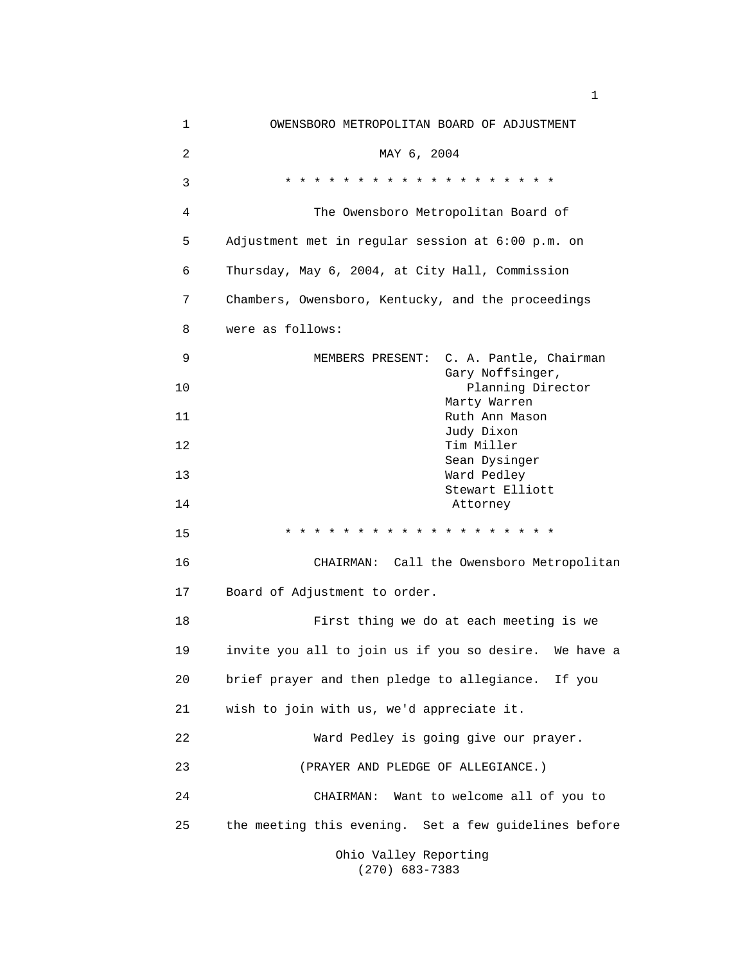| $\mathbf 1$ | OWENSBORO METROPOLITAN BOARD OF ADJUSTMENT            |
|-------------|-------------------------------------------------------|
| 2           | MAY 6, 2004                                           |
| 3           | * * * * * * * * * * * * * * * * * * *                 |
| 4           | The Owensboro Metropolitan Board of                   |
| 5           | Adjustment met in regular session at 6:00 p.m. on     |
| 6           | Thursday, May 6, 2004, at City Hall, Commission       |
| 7           | Chambers, Owensboro, Kentucky, and the proceedings    |
| 8           | were as follows:                                      |
| 9           | MEMBERS PRESENT: C. A. Pantle, Chairman               |
| 10          | Gary Noffsinger,<br>Planning Director                 |
| 11          | Marty Warren<br>Ruth Ann Mason                        |
| 12          | Judy Dixon<br>Tim Miller                              |
| 13          | Sean Dysinger<br>Ward Pedley                          |
| 14          | Stewart Elliott<br>Attorney                           |
| 15          | * * * * * * * * * * * * *<br>* * * * * *              |
| 16          | CHAIRMAN: Call the Owensboro Metropolitan             |
| 17          | Board of Adjustment to order.                         |
| 18          | First thing we do at each meeting is we               |
| 19          | invite you all to join us if you so desire. We have a |
| 20          | brief prayer and then pledge to allegiance. If you    |
| 21          | wish to join with us, we'd appreciate it.             |
| 22          | Ward Pedley is going give our prayer.                 |
| 23          | (PRAYER AND PLEDGE OF ALLEGIANCE.)                    |
| 24          | Want to welcome all of you to<br>CHAIRMAN:            |
| 25          | the meeting this evening. Set a few guidelines before |
|             | Ohio Valley Reporting                                 |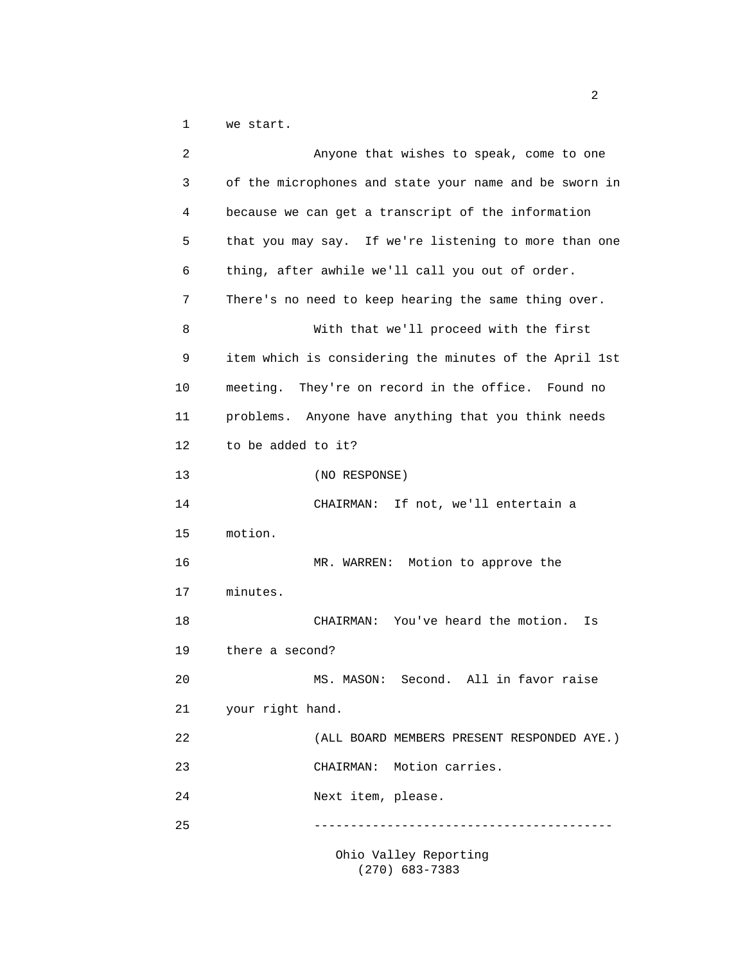1 we start.

| 2  | Anyone that wishes to speak, come to one               |
|----|--------------------------------------------------------|
| 3  | of the microphones and state your name and be sworn in |
| 4  | because we can get a transcript of the information     |
| 5  | that you may say. If we're listening to more than one  |
| 6  | thing, after awhile we'll call you out of order.       |
| 7  | There's no need to keep hearing the same thing over.   |
| 8  | With that we'll proceed with the first                 |
| 9  | item which is considering the minutes of the April 1st |
| 10 | meeting. They're on record in the office. Found no     |
| 11 | problems. Anyone have anything that you think needs    |
| 12 | to be added to it?                                     |
| 13 | (NO RESPONSE)                                          |
| 14 | CHAIRMAN: If not, we'll entertain a                    |
| 15 | motion.                                                |
| 16 | Motion to approve the<br>MR. WARREN:                   |
| 17 | minutes.                                               |
| 18 | CHAIRMAN: You've heard the motion.<br>Is               |
| 19 | there a second?                                        |
| 20 | MS. MASON: Second. All in favor raise                  |
| 21 | your right hand.                                       |
| 22 | (ALL BOARD MEMBERS PRESENT RESPONDED AYE.)             |
| 23 | Motion carries.<br>CHAIRMAN:                           |
| 24 | Next item, please.                                     |
| 25 |                                                        |
|    |                                                        |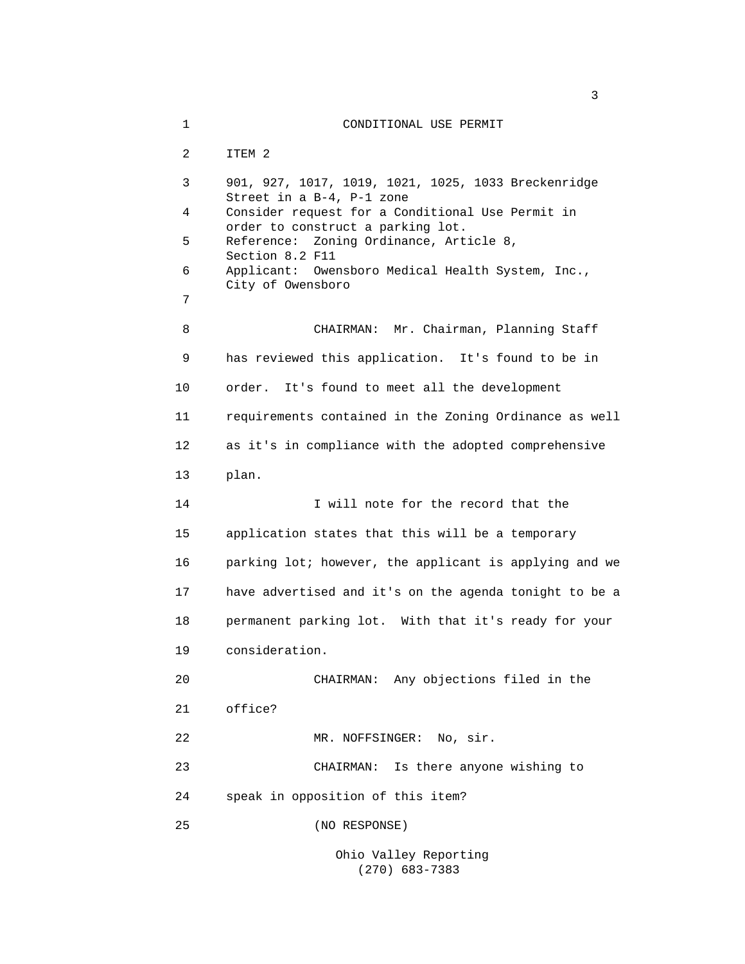1 CONDITIONAL USE PERMIT 2 ITEM 2 3 901, 927, 1017, 1019, 1021, 1025, 1033 Breckenridge Street in a B-4, P-1 zone 4 Consider request for a Conditional Use Permit in order to construct a parking lot. 5 Reference: Zoning Ordinance, Article 8, Section 8.2 F11 6 Applicant: Owensboro Medical Health System, Inc., City of Owensboro 7 8 CHAIRMAN: Mr. Chairman, Planning Staff 9 has reviewed this application. It's found to be in 10 order. It's found to meet all the development 11 requirements contained in the Zoning Ordinance as well 12 as it's in compliance with the adopted comprehensive 13 plan. 14 I will note for the record that the 15 application states that this will be a temporary 16 parking lot; however, the applicant is applying and we 17 have advertised and it's on the agenda tonight to be a 18 permanent parking lot. With that it's ready for your 19 consideration. 20 CHAIRMAN: Any objections filed in the 21 office? 22 MR. NOFFSINGER: No, sir. 23 CHAIRMAN: Is there anyone wishing to 24 speak in opposition of this item? 25 (NO RESPONSE)

 $\sim$  3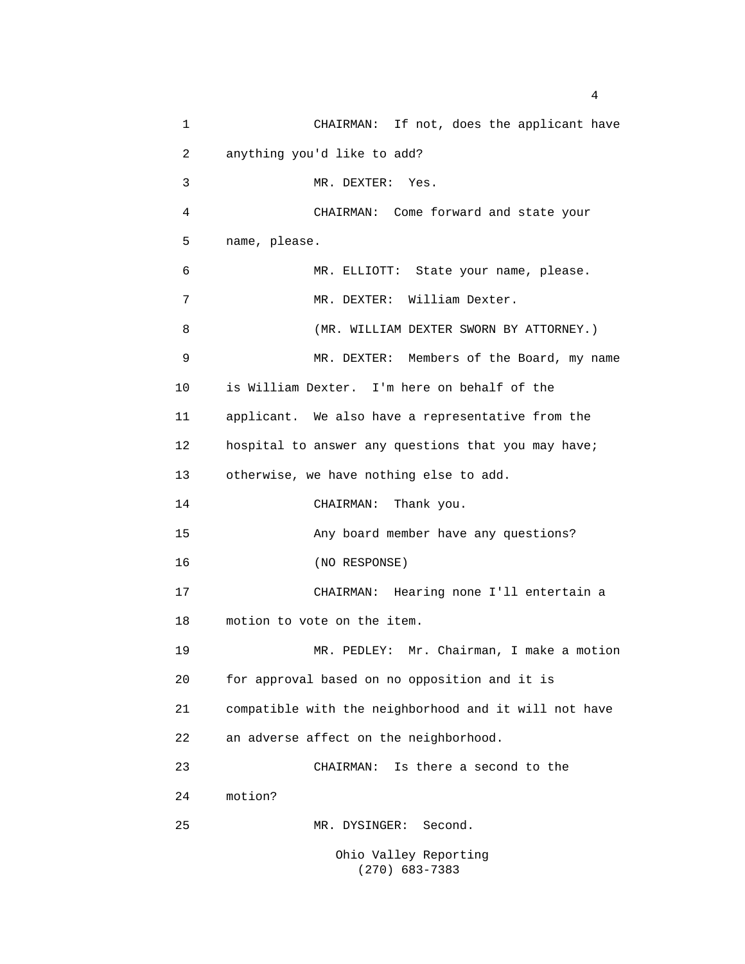1 CHAIRMAN: If not, does the applicant have 2 anything you'd like to add? 3 MR. DEXTER: Yes. 4 CHAIRMAN: Come forward and state your 5 name, please. 6 MR. ELLIOTT: State your name, please. 7 MR. DEXTER: William Dexter. 8 (MR. WILLIAM DEXTER SWORN BY ATTORNEY.) 9 MR. DEXTER: Members of the Board, my name 10 is William Dexter. I'm here on behalf of the 11 applicant. We also have a representative from the 12 hospital to answer any questions that you may have; 13 otherwise, we have nothing else to add. 14 CHAIRMAN: Thank you. 15 Any board member have any questions? 16 (NO RESPONSE) 17 CHAIRMAN: Hearing none I'll entertain a 18 motion to vote on the item. 19 MR. PEDLEY: Mr. Chairman, I make a motion 20 for approval based on no opposition and it is 21 compatible with the neighborhood and it will not have 22 an adverse affect on the neighborhood. 23 CHAIRMAN: Is there a second to the 24 motion? 25 MR. DYSINGER: Second. Ohio Valley Reporting

(270) 683-7383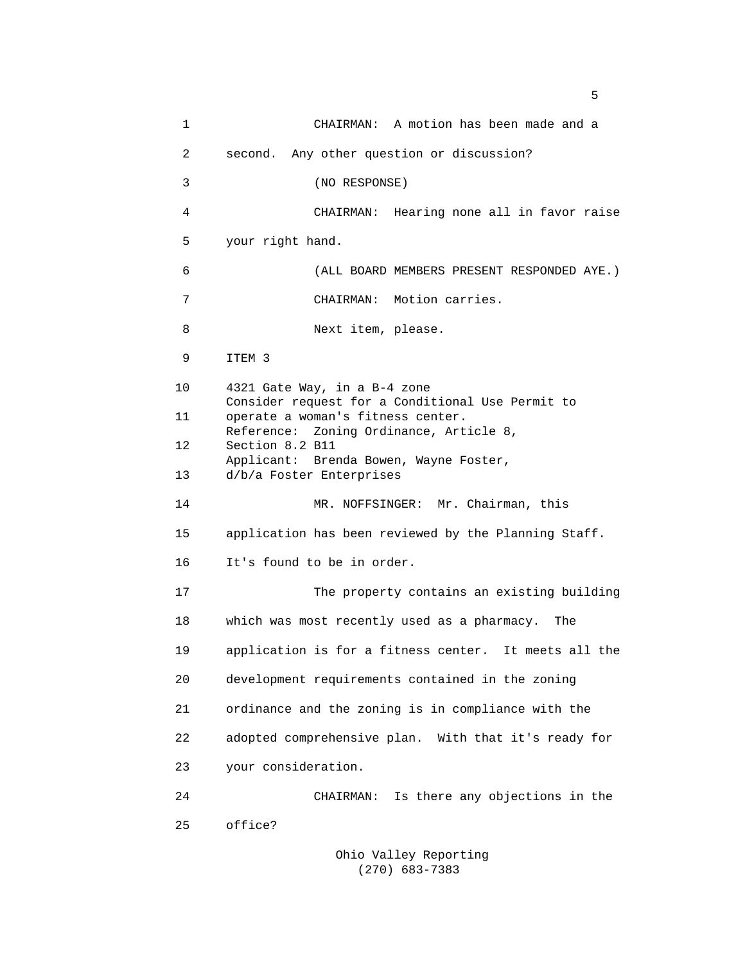1 CHAIRMAN: A motion has been made and a 2 second. Any other question or discussion? 3 (NO RESPONSE) 4 CHAIRMAN: Hearing none all in favor raise 5 your right hand. 6 (ALL BOARD MEMBERS PRESENT RESPONDED AYE.) 7 CHAIRMAN: Motion carries. 8 Next item, please. 9 ITEM 3 10 4321 Gate Way, in a B-4 zone Consider request for a Conditional Use Permit to 11 operate a woman's fitness center. Reference: Zoning Ordinance, Article 8, 12 Section 8.2 B11 Applicant: Brenda Bowen, Wayne Foster, 13 d/b/a Foster Enterprises 14 MR. NOFFSINGER: Mr. Chairman, this 15 application has been reviewed by the Planning Staff. 16 It's found to be in order. 17 The property contains an existing building 18 which was most recently used as a pharmacy. The 19 application is for a fitness center. It meets all the 20 development requirements contained in the zoning 21 ordinance and the zoning is in compliance with the 22 adopted comprehensive plan. With that it's ready for 23 your consideration. 24 CHAIRMAN: Is there any objections in the 25 office?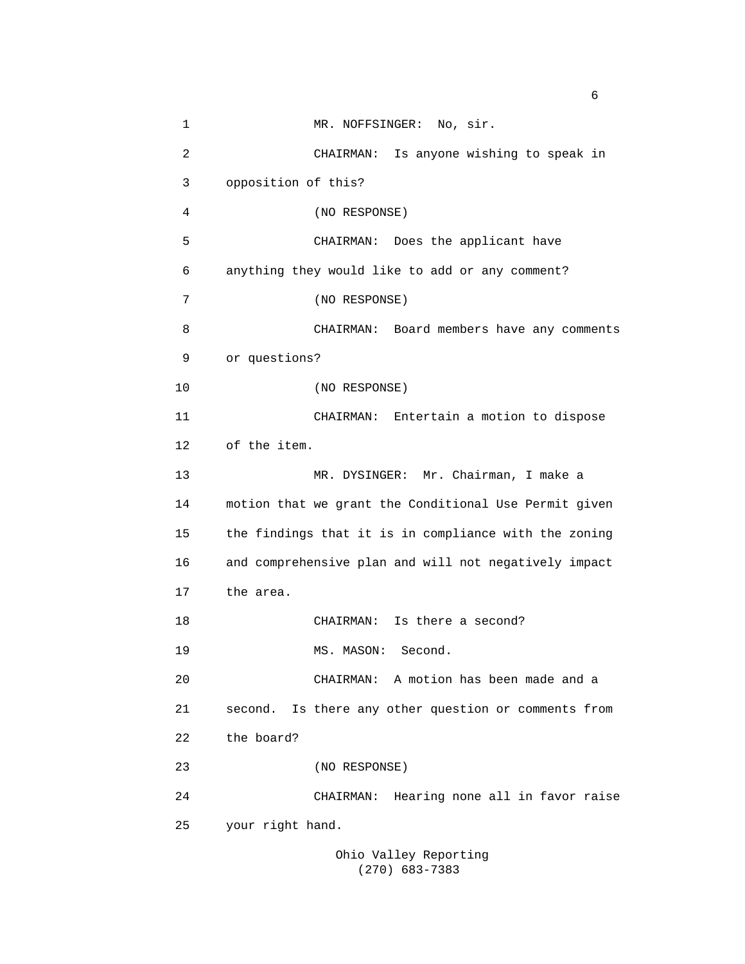1 MR. NOFFSINGER: No, sir. 2 CHAIRMAN: Is anyone wishing to speak in 3 opposition of this? 4 (NO RESPONSE) 5 CHAIRMAN: Does the applicant have 6 anything they would like to add or any comment? 7 (NO RESPONSE) 8 CHAIRMAN: Board members have any comments 9 or questions? 10 (NO RESPONSE) 11 CHAIRMAN: Entertain a motion to dispose 12 of the item. 13 MR. DYSINGER: Mr. Chairman, I make a 14 motion that we grant the Conditional Use Permit given 15 the findings that it is in compliance with the zoning 16 and comprehensive plan and will not negatively impact 17 the area. 18 CHAIRMAN: Is there a second? 19 MS. MASON: Second. 20 CHAIRMAN: A motion has been made and a 21 second. Is there any other question or comments from 22 the board? 23 (NO RESPONSE) 24 CHAIRMAN: Hearing none all in favor raise 25 your right hand. Ohio Valley Reporting

(270) 683-7383

 $\sim$  6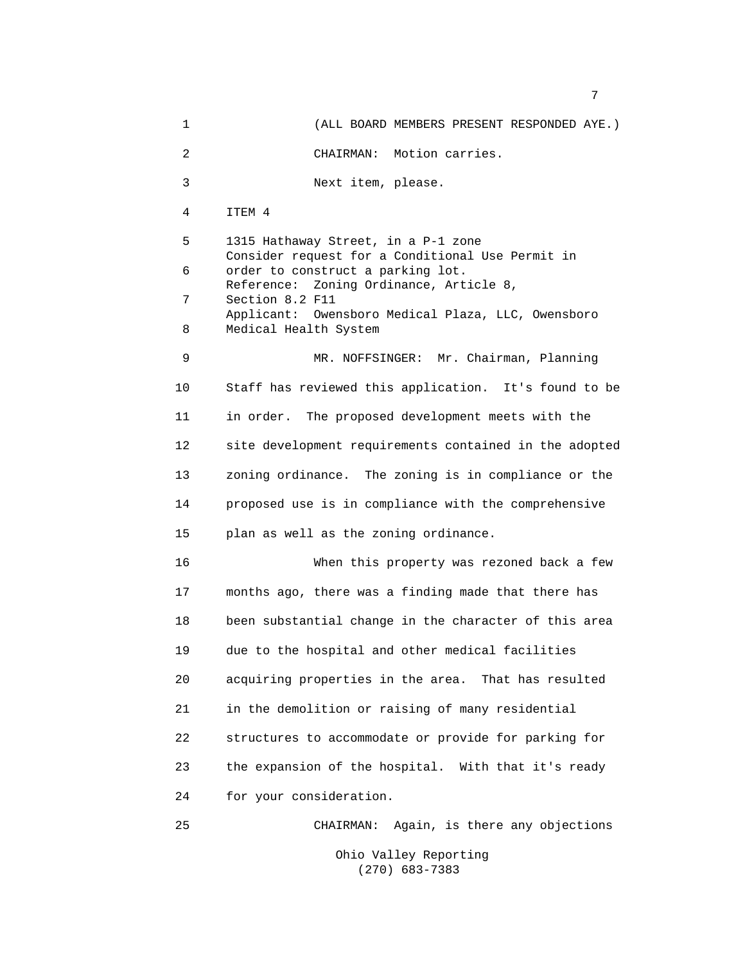1 (ALL BOARD MEMBERS PRESENT RESPONDED AYE.) 2 CHAIRMAN: Motion carries. 3 Next item, please. 4 ITEM 4 5 1315 Hathaway Street, in a P-1 zone Consider request for a Conditional Use Permit in 6 order to construct a parking lot. Reference: Zoning Ordinance, Article 8, 7 Section 8.2 F11 Applicant: Owensboro Medical Plaza, LLC, Owensboro 8 Medical Health System 9 MR. NOFFSINGER: Mr. Chairman, Planning 10 Staff has reviewed this application. It's found to be 11 in order. The proposed development meets with the 12 site development requirements contained in the adopted 13 zoning ordinance. The zoning is in compliance or the 14 proposed use is in compliance with the comprehensive 15 plan as well as the zoning ordinance. 16 When this property was rezoned back a few 17 months ago, there was a finding made that there has 18 been substantial change in the character of this area 19 due to the hospital and other medical facilities 20 acquiring properties in the area. That has resulted 21 in the demolition or raising of many residential 22 structures to accommodate or provide for parking for 23 the expansion of the hospital. With that it's ready 24 for your consideration. 25 CHAIRMAN: Again, is there any objections

7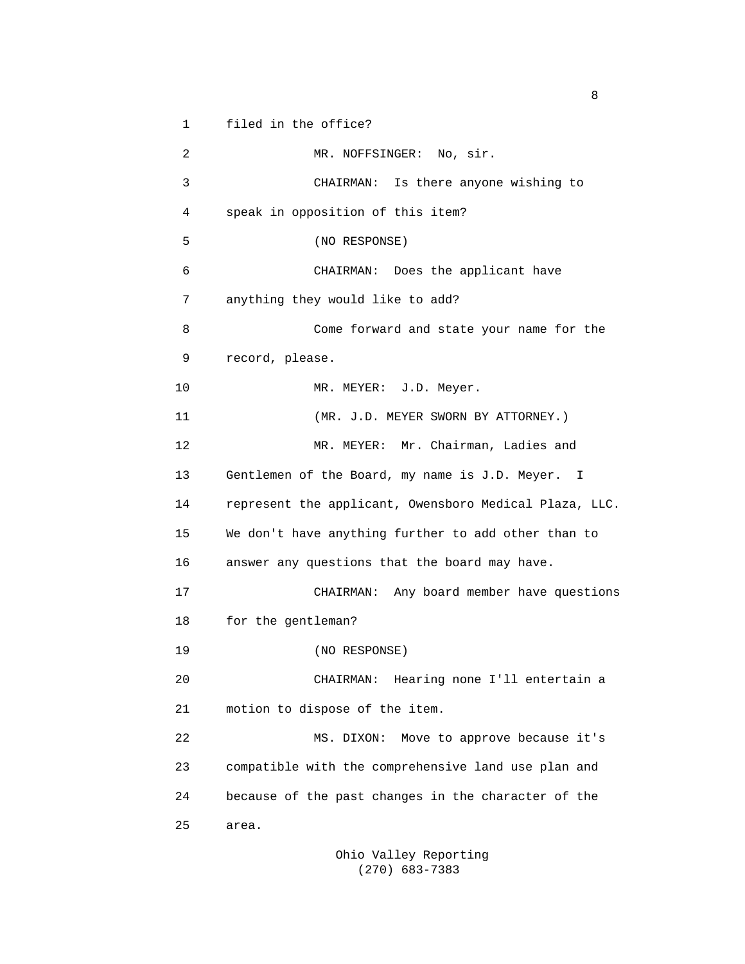1 filed in the office?

2 MR. NOFFSINGER: No, sir. 3 CHAIRMAN: Is there anyone wishing to 4 speak in opposition of this item? 5 (NO RESPONSE) 6 CHAIRMAN: Does the applicant have 7 anything they would like to add? 8 Come forward and state your name for the 9 record, please. 10 MR. MEYER: J.D. Meyer. 11 (MR. J.D. MEYER SWORN BY ATTORNEY.) 12 MR. MEYER: Mr. Chairman, Ladies and 13 Gentlemen of the Board, my name is J.D. Meyer. I 14 represent the applicant, Owensboro Medical Plaza, LLC. 15 We don't have anything further to add other than to 16 answer any questions that the board may have. 17 CHAIRMAN: Any board member have questions 18 for the gentleman? 19 (NO RESPONSE) 20 CHAIRMAN: Hearing none I'll entertain a 21 motion to dispose of the item. 22 MS. DIXON: Move to approve because it's 23 compatible with the comprehensive land use plan and 24 because of the past changes in the character of the 25 area.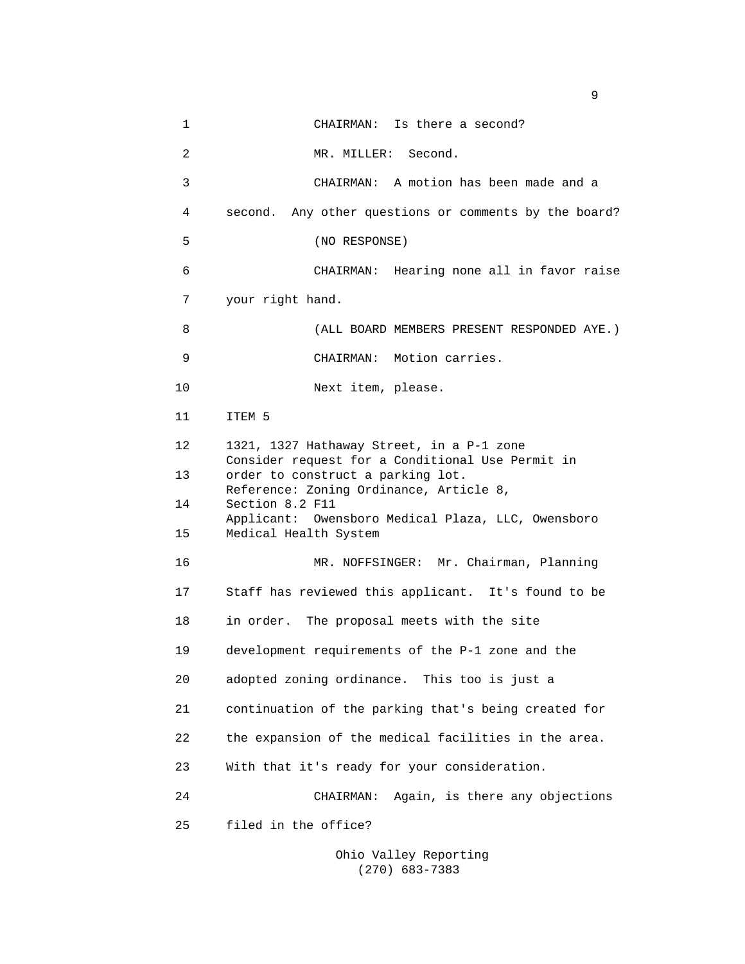| 1              | CHAIRMAN: Is there a second?                                                                                                                                                   |  |
|----------------|--------------------------------------------------------------------------------------------------------------------------------------------------------------------------------|--|
| $\overline{c}$ | MR. MILLER: Second.                                                                                                                                                            |  |
| 3              | CHAIRMAN: A motion has been made and a                                                                                                                                         |  |
| 4              | Any other questions or comments by the board?<br>second.                                                                                                                       |  |
| 5              | (NO RESPONSE)                                                                                                                                                                  |  |
| 6              | CHAIRMAN: Hearing none all in favor raise                                                                                                                                      |  |
| 7              | your right hand.                                                                                                                                                               |  |
| 8              | (ALL BOARD MEMBERS PRESENT RESPONDED AYE.)                                                                                                                                     |  |
| 9              | CHAIRMAN: Motion carries.                                                                                                                                                      |  |
| 10             | Next item, please.                                                                                                                                                             |  |
| 11             | ITEM 5                                                                                                                                                                         |  |
| 12             | 1321, 1327 Hathaway Street, in a P-1 zone<br>Consider request for a Conditional Use Permit in                                                                                  |  |
| 13             | order to construct a parking lot.<br>Reference: Zoning Ordinance, Article 8,<br>Section 8.2 F11<br>Applicant: Owensboro Medical Plaza, LLC, Owensboro<br>Medical Health System |  |
| 14             |                                                                                                                                                                                |  |
| 15             |                                                                                                                                                                                |  |
| 16             | MR. NOFFSINGER: Mr. Chairman, Planning                                                                                                                                         |  |
| 17             | Staff has reviewed this applicant. It's found to be                                                                                                                            |  |
| 18             | in order. The proposal meets with the site                                                                                                                                     |  |
| 19             | development requirements of the P-1 zone and the                                                                                                                               |  |
| 20             | adopted zoning ordinance. This too is just a                                                                                                                                   |  |
| 21             | continuation of the parking that's being created for                                                                                                                           |  |
| 22             | the expansion of the medical facilities in the area.                                                                                                                           |  |
| 23             | With that it's ready for your consideration.                                                                                                                                   |  |
| 24             | Again, is there any objections<br>CHAIRMAN:                                                                                                                                    |  |
| 25             | filed in the office?                                                                                                                                                           |  |
|                |                                                                                                                                                                                |  |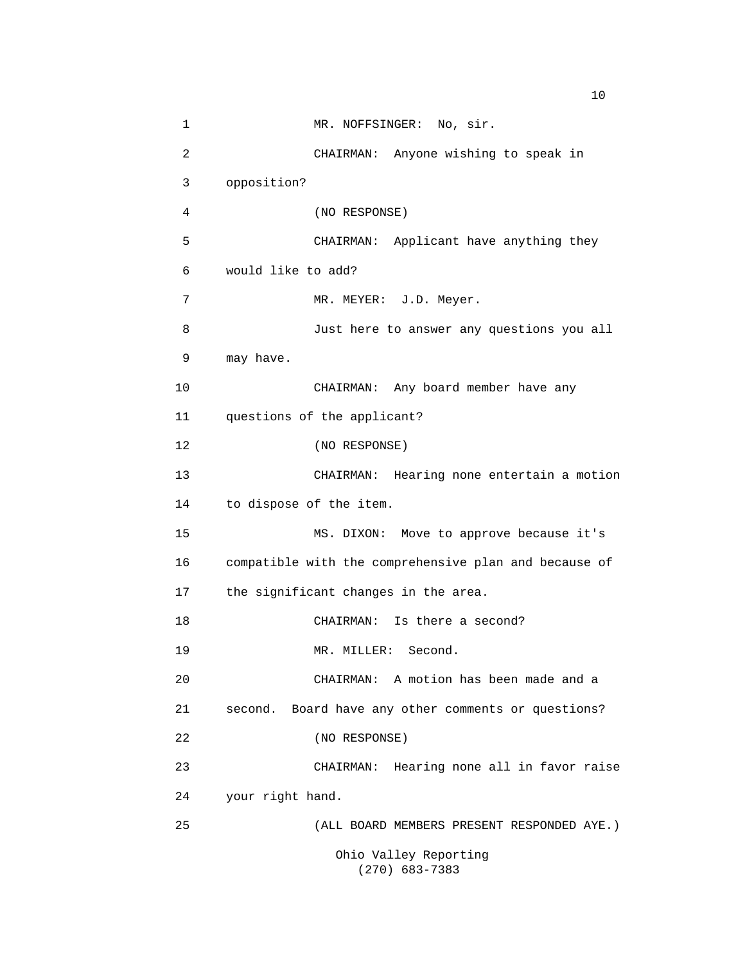1 MR. NOFFSINGER: No, sir. 2 CHAIRMAN: Anyone wishing to speak in 3 opposition? 4 (NO RESPONSE) 5 CHAIRMAN: Applicant have anything they 6 would like to add? 7 MR. MEYER: J.D. Meyer. 8 Just here to answer any questions you all 9 may have. 10 CHAIRMAN: Any board member have any 11 questions of the applicant? 12 (NO RESPONSE) 13 CHAIRMAN: Hearing none entertain a motion 14 to dispose of the item. 15 MS. DIXON: Move to approve because it's 16 compatible with the comprehensive plan and because of 17 the significant changes in the area. 18 CHAIRMAN: Is there a second? 19 MR. MILLER: Second. 20 CHAIRMAN: A motion has been made and a 21 second. Board have any other comments or questions? 22 (NO RESPONSE) 23 CHAIRMAN: Hearing none all in favor raise 24 your right hand. 25 (ALL BOARD MEMBERS PRESENT RESPONDED AYE.) Ohio Valley Reporting (270) 683-7383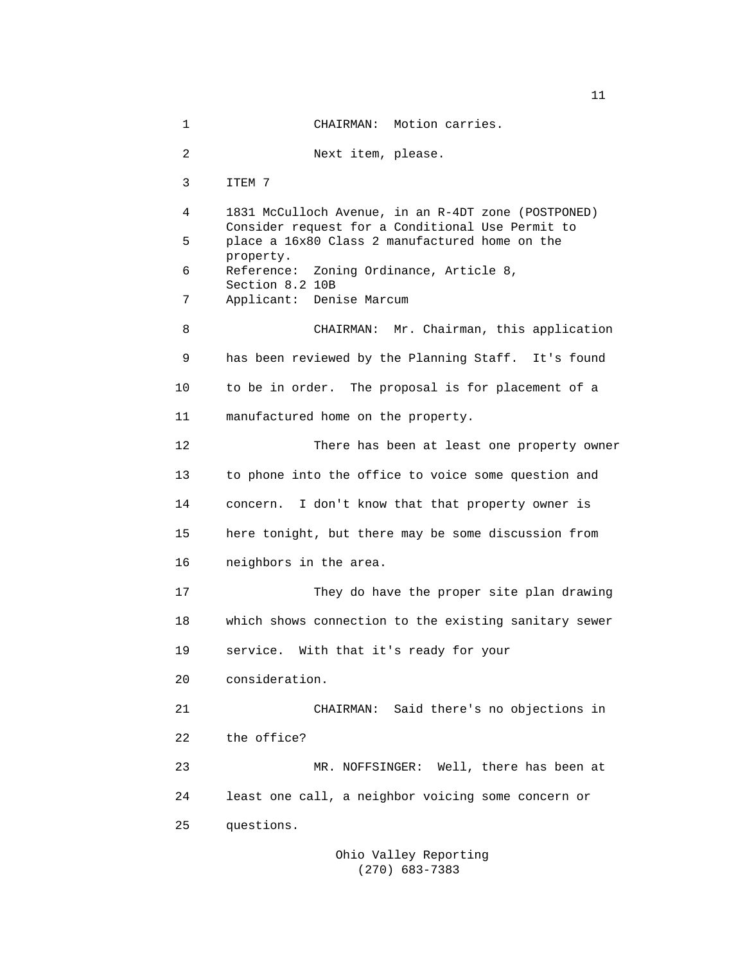1 CHAIRMAN: Motion carries. 2 Next item, please. 3 ITEM 7 4 1831 McCulloch Avenue, in an R-4DT zone (POSTPONED) Consider request for a Conditional Use Permit to 5 place a 16x80 Class 2 manufactured home on the property. 6 Reference: Zoning Ordinance, Article 8, Section 8.2 10B 7 Applicant: Denise Marcum 8 CHAIRMAN: Mr. Chairman, this application 9 has been reviewed by the Planning Staff. It's found 10 to be in order. The proposal is for placement of a 11 manufactured home on the property. 12 There has been at least one property owner 13 to phone into the office to voice some question and 14 concern. I don't know that that property owner is 15 here tonight, but there may be some discussion from 16 neighbors in the area. 17 They do have the proper site plan drawing 18 which shows connection to the existing sanitary sewer 19 service. With that it's ready for your 20 consideration. 21 CHAIRMAN: Said there's no objections in 22 the office? 23 MR. NOFFSINGER: Well, there has been at 24 least one call, a neighbor voicing some concern or 25 questions.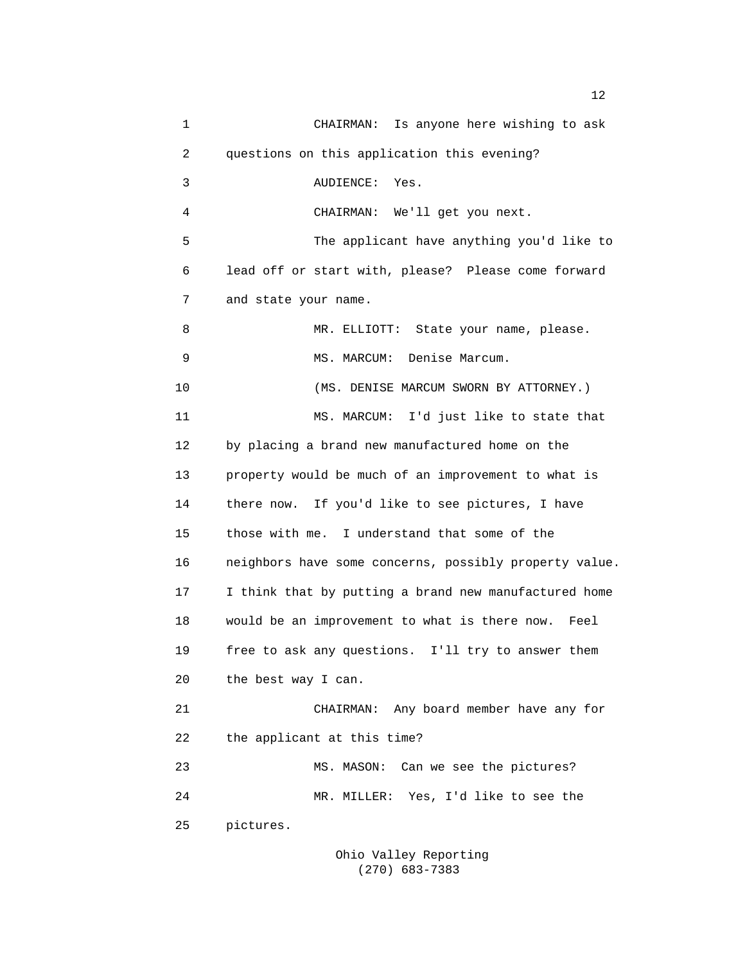1 CHAIRMAN: Is anyone here wishing to ask 2 questions on this application this evening? 3 AUDIENCE: Yes. 4 CHAIRMAN: We'll get you next. 5 The applicant have anything you'd like to 6 lead off or start with, please? Please come forward 7 and state your name. 8 MR. ELLIOTT: State your name, please. 9 MS. MARCUM: Denise Marcum. 10 (MS. DENISE MARCUM SWORN BY ATTORNEY.) 11 MS. MARCUM: I'd just like to state that 12 by placing a brand new manufactured home on the 13 property would be much of an improvement to what is 14 there now. If you'd like to see pictures, I have 15 those with me. I understand that some of the 16 neighbors have some concerns, possibly property value. 17 I think that by putting a brand new manufactured home 18 would be an improvement to what is there now. Feel 19 free to ask any questions. I'll try to answer them 20 the best way I can. 21 CHAIRMAN: Any board member have any for 22 the applicant at this time? 23 MS. MASON: Can we see the pictures? 24 MR. MILLER: Yes, I'd like to see the 25 pictures.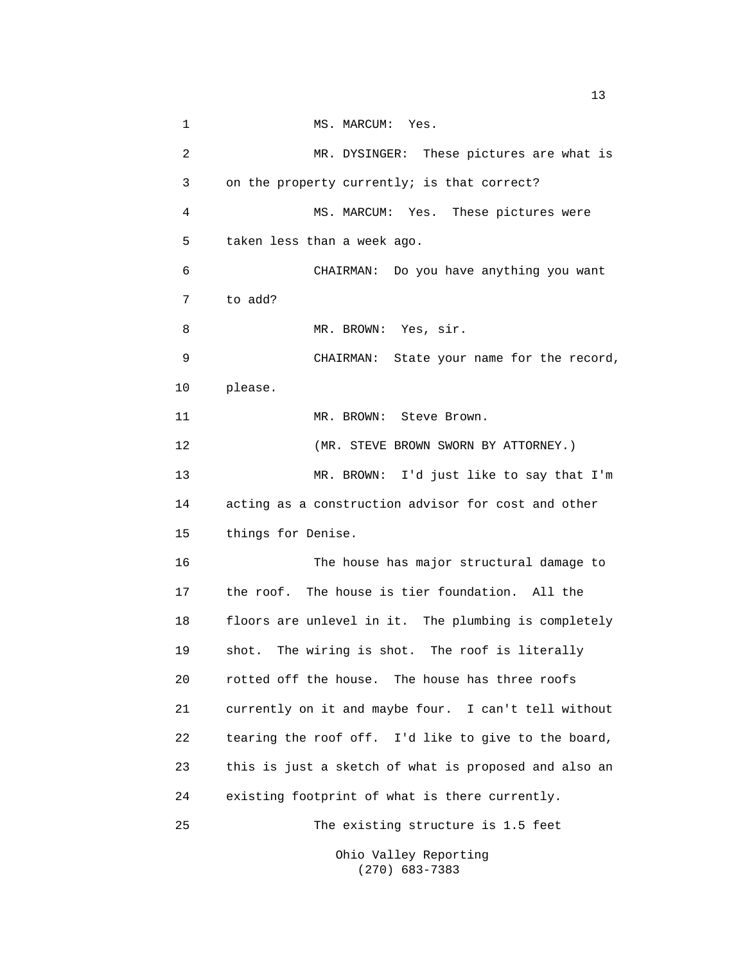1 MS. MARCUM: Yes. 2 MR. DYSINGER: These pictures are what is 3 on the property currently; is that correct? 4 MS. MARCUM: Yes. These pictures were 5 taken less than a week ago. 6 CHAIRMAN: Do you have anything you want 7 to add? 8 MR. BROWN: Yes, sir. 9 CHAIRMAN: State your name for the record, 10 please. 11 MR. BROWN: Steve Brown. 12 **MR. STEVE BROWN SWORN BY ATTORNEY.**) 13 MR. BROWN: I'd just like to say that I'm 14 acting as a construction advisor for cost and other 15 things for Denise. 16 The house has major structural damage to 17 the roof. The house is tier foundation. All the 18 floors are unlevel in it. The plumbing is completely 19 shot. The wiring is shot. The roof is literally 20 rotted off the house. The house has three roofs 21 currently on it and maybe four. I can't tell without 22 tearing the roof off. I'd like to give to the board, 23 this is just a sketch of what is proposed and also an 24 existing footprint of what is there currently. 25 The existing structure is 1.5 feet Ohio Valley Reporting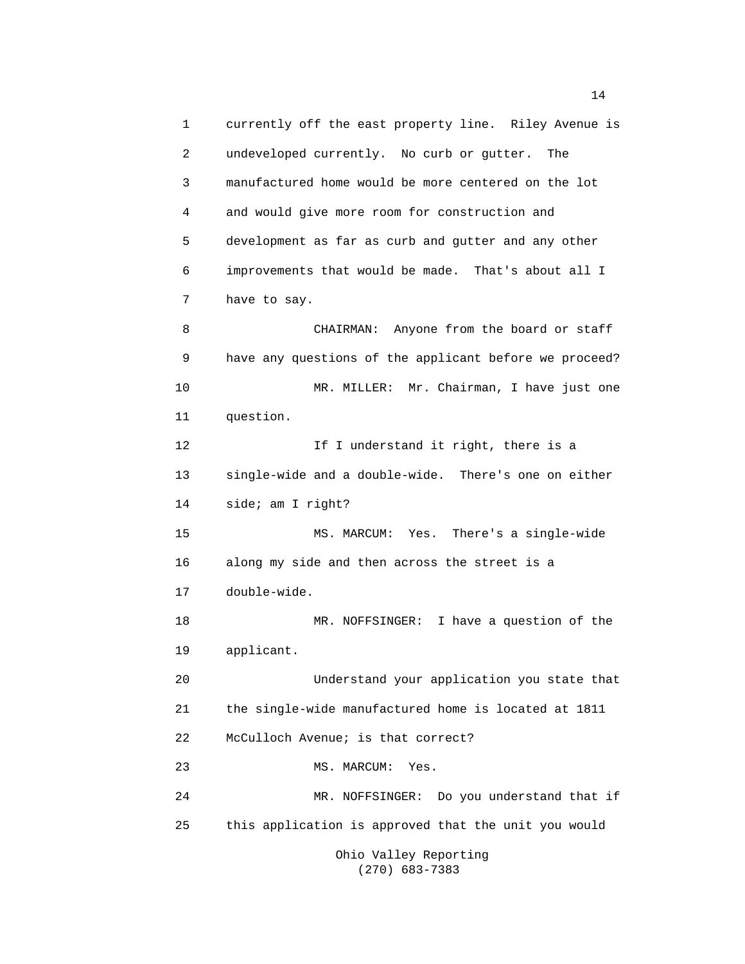1 currently off the east property line. Riley Avenue is 2 undeveloped currently. No curb or gutter. The 3 manufactured home would be more centered on the lot 4 and would give more room for construction and 5 development as far as curb and gutter and any other 6 improvements that would be made. That's about all I 7 have to say. 8 CHAIRMAN: Anyone from the board or staff 9 have any questions of the applicant before we proceed? 10 MR. MILLER: Mr. Chairman, I have just one 11 question. 12 **If I** understand it right, there is a 13 single-wide and a double-wide. There's one on either 14 side; am I right? 15 MS. MARCUM: Yes. There's a single-wide 16 along my side and then across the street is a 17 double-wide. 18 MR. NOFFSINGER: I have a question of the 19 applicant. 20 Understand your application you state that 21 the single-wide manufactured home is located at 1811 22 McCulloch Avenue; is that correct? 23 MS. MARCUM: Yes. 24 MR. NOFFSINGER: Do you understand that if 25 this application is approved that the unit you would Ohio Valley Reporting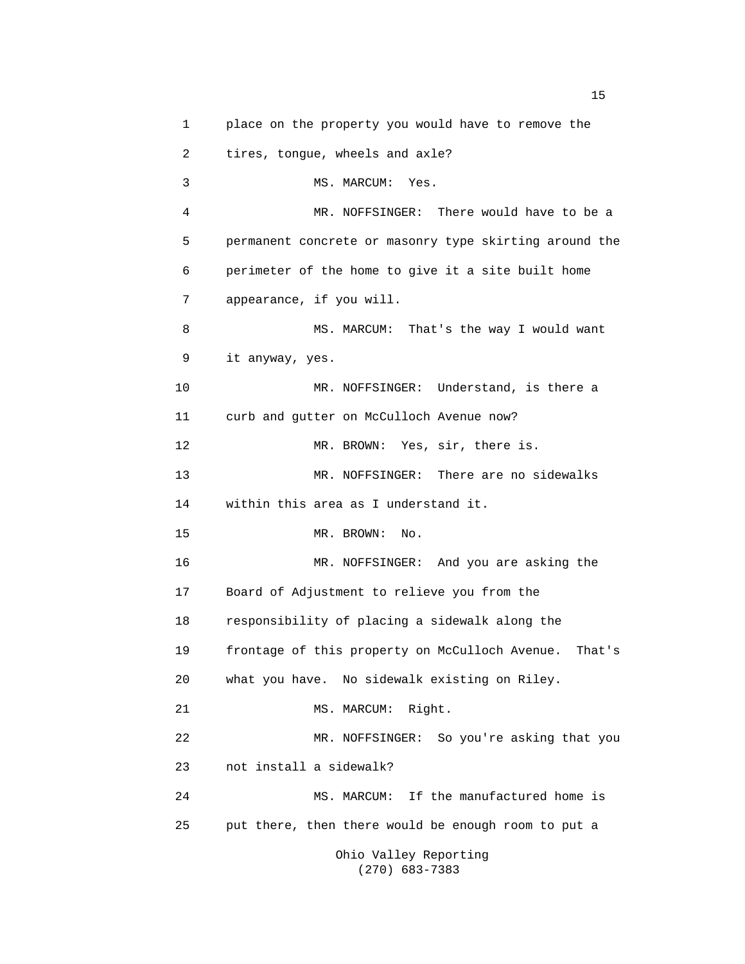1 place on the property you would have to remove the 2 tires, tongue, wheels and axle? 3 MS. MARCUM: Yes. 4 MR. NOFFSINGER: There would have to be a 5 permanent concrete or masonry type skirting around the 6 perimeter of the home to give it a site built home 7 appearance, if you will. 8 MS. MARCUM: That's the way I would want 9 it anyway, yes. 10 MR. NOFFSINGER: Understand, is there a 11 curb and gutter on McCulloch Avenue now? 12 MR. BROWN: Yes, sir, there is. 13 MR. NOFFSINGER: There are no sidewalks 14 within this area as I understand it. 15 MR. BROWN: No. 16 MR. NOFFSINGER: And you are asking the 17 Board of Adjustment to relieve you from the 18 responsibility of placing a sidewalk along the 19 frontage of this property on McCulloch Avenue. That's 20 what you have. No sidewalk existing on Riley. 21 MS. MARCUM: Right. 22 MR. NOFFSINGER: So you're asking that you 23 not install a sidewalk? 24 MS. MARCUM: If the manufactured home is 25 put there, then there would be enough room to put a Ohio Valley Reporting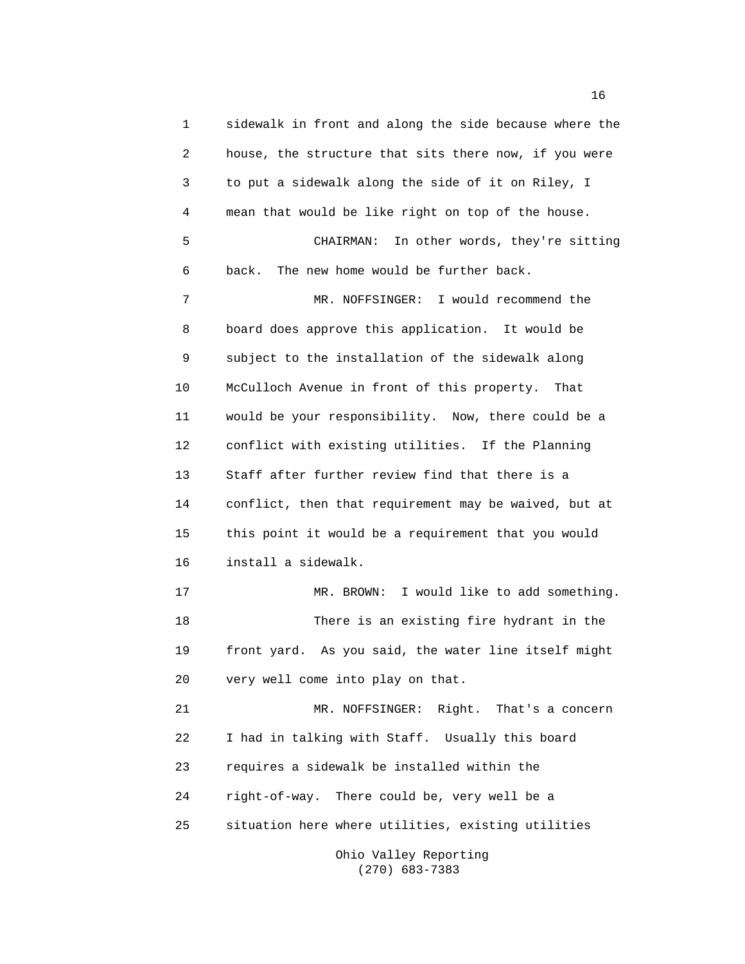1 sidewalk in front and along the side because where the 2 house, the structure that sits there now, if you were 3 to put a sidewalk along the side of it on Riley, I 4 mean that would be like right on top of the house. 5 CHAIRMAN: In other words, they're sitting 6 back. The new home would be further back. 7 MR. NOFFSINGER: I would recommend the 8 board does approve this application. It would be 9 subject to the installation of the sidewalk along 10 McCulloch Avenue in front of this property. That 11 would be your responsibility. Now, there could be a 12 conflict with existing utilities. If the Planning 13 Staff after further review find that there is a 14 conflict, then that requirement may be waived, but at 15 this point it would be a requirement that you would 16 install a sidewalk. 17 MR. BROWN: I would like to add something. 18 There is an existing fire hydrant in the 19 front yard. As you said, the water line itself might 20 very well come into play on that. 21 MR. NOFFSINGER: Right. That's a concern 22 I had in talking with Staff. Usually this board 23 requires a sidewalk be installed within the 24 right-of-way. There could be, very well be a 25 situation here where utilities, existing utilities

 Ohio Valley Reporting (270) 683-7383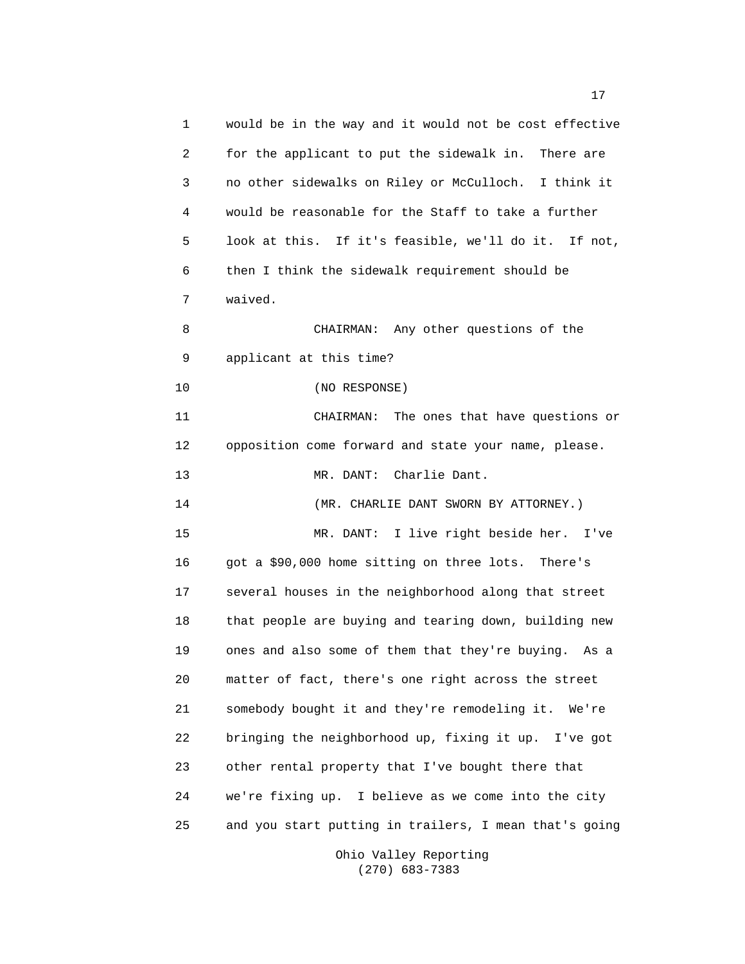1 would be in the way and it would not be cost effective 2 for the applicant to put the sidewalk in. There are 3 no other sidewalks on Riley or McCulloch. I think it 4 would be reasonable for the Staff to take a further 5 look at this. If it's feasible, we'll do it. If not, 6 then I think the sidewalk requirement should be 7 waived. 8 CHAIRMAN: Any other questions of the 9 applicant at this time? 10 (NO RESPONSE) 11 CHAIRMAN: The ones that have questions or 12 opposition come forward and state your name, please. 13 MR. DANT: Charlie Dant. 14 (MR. CHARLIE DANT SWORN BY ATTORNEY.) 15 MR. DANT: I live right beside her. I've 16 got a \$90,000 home sitting on three lots. There's 17 several houses in the neighborhood along that street 18 that people are buying and tearing down, building new 19 ones and also some of them that they're buying. As a 20 matter of fact, there's one right across the street 21 somebody bought it and they're remodeling it. We're 22 bringing the neighborhood up, fixing it up. I've got 23 other rental property that I've bought there that 24 we're fixing up. I believe as we come into the city 25 and you start putting in trailers, I mean that's going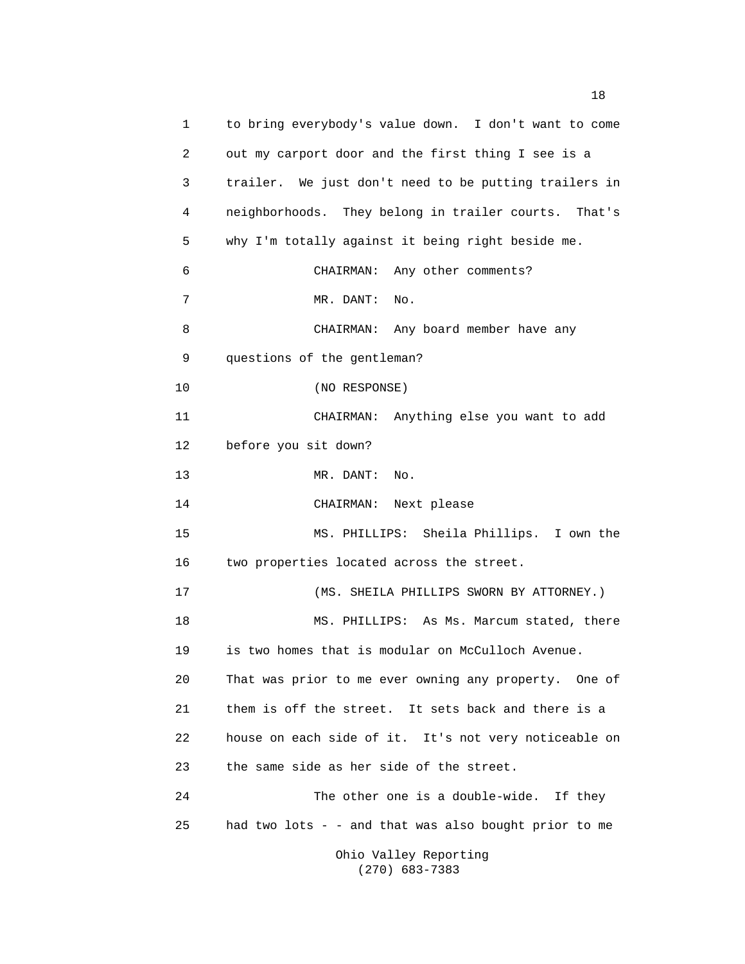1 to bring everybody's value down. I don't want to come 2 out my carport door and the first thing I see is a 3 trailer. We just don't need to be putting trailers in 4 neighborhoods. They belong in trailer courts. That's 5 why I'm totally against it being right beside me. 6 CHAIRMAN: Any other comments? 7 MR. DANT: No. 8 CHAIRMAN: Any board member have any 9 questions of the gentleman? 10 (NO RESPONSE) 11 CHAIRMAN: Anything else you want to add 12 before you sit down? 13 MR. DANT: No. 14 CHAIRMAN: Next please 15 MS. PHILLIPS: Sheila Phillips. I own the 16 two properties located across the street. 17 (MS. SHEILA PHILLIPS SWORN BY ATTORNEY.) 18 MS. PHILLIPS: As Ms. Marcum stated, there 19 is two homes that is modular on McCulloch Avenue. 20 That was prior to me ever owning any property. One of 21 them is off the street. It sets back and there is a 22 house on each side of it. It's not very noticeable on 23 the same side as her side of the street. 24 The other one is a double-wide. If they 25 had two lots - - and that was also bought prior to me Ohio Valley Reporting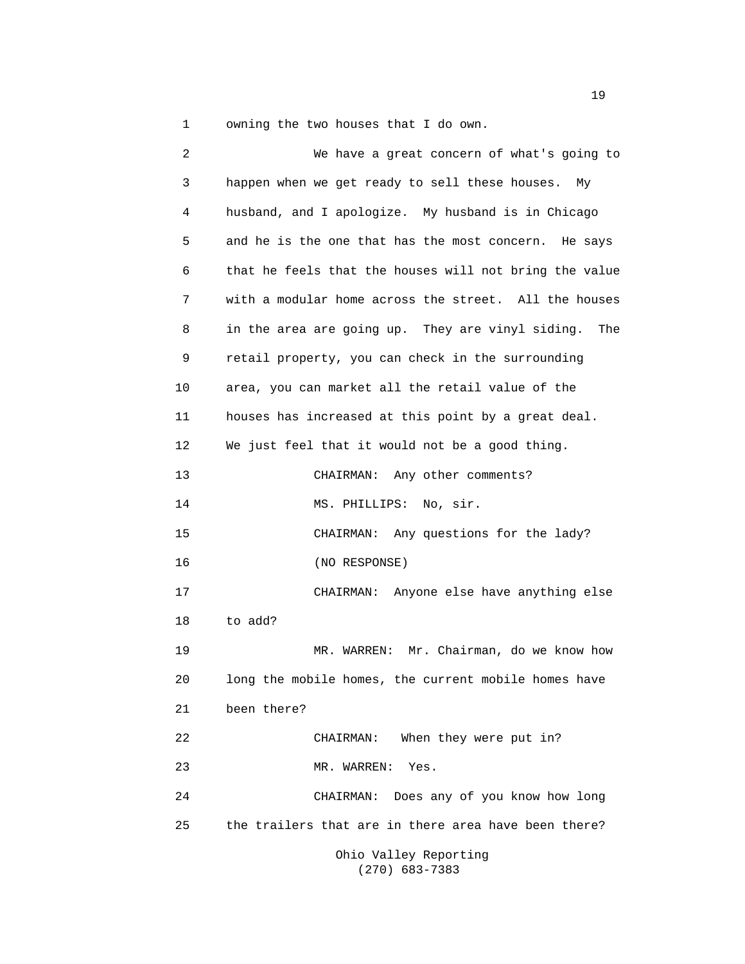1 owning the two houses that I do own.

 2 We have a great concern of what's going to 3 happen when we get ready to sell these houses. My 4 husband, and I apologize. My husband is in Chicago 5 and he is the one that has the most concern. He says 6 that he feels that the houses will not bring the value 7 with a modular home across the street. All the houses 8 in the area are going up. They are vinyl siding. The 9 retail property, you can check in the surrounding 10 area, you can market all the retail value of the 11 houses has increased at this point by a great deal. 12 We just feel that it would not be a good thing. 13 CHAIRMAN: Any other comments? 14 MS. PHILLIPS: No, sir. 15 CHAIRMAN: Any questions for the lady? 16 (NO RESPONSE) 17 CHAIRMAN: Anyone else have anything else 18 to add? 19 MR. WARREN: Mr. Chairman, do we know how 20 long the mobile homes, the current mobile homes have 21 been there? 22 CHAIRMAN: When they were put in? 23 MR. WARREN: Yes. 24 CHAIRMAN: Does any of you know how long 25 the trailers that are in there area have been there? Ohio Valley Reporting

(270) 683-7383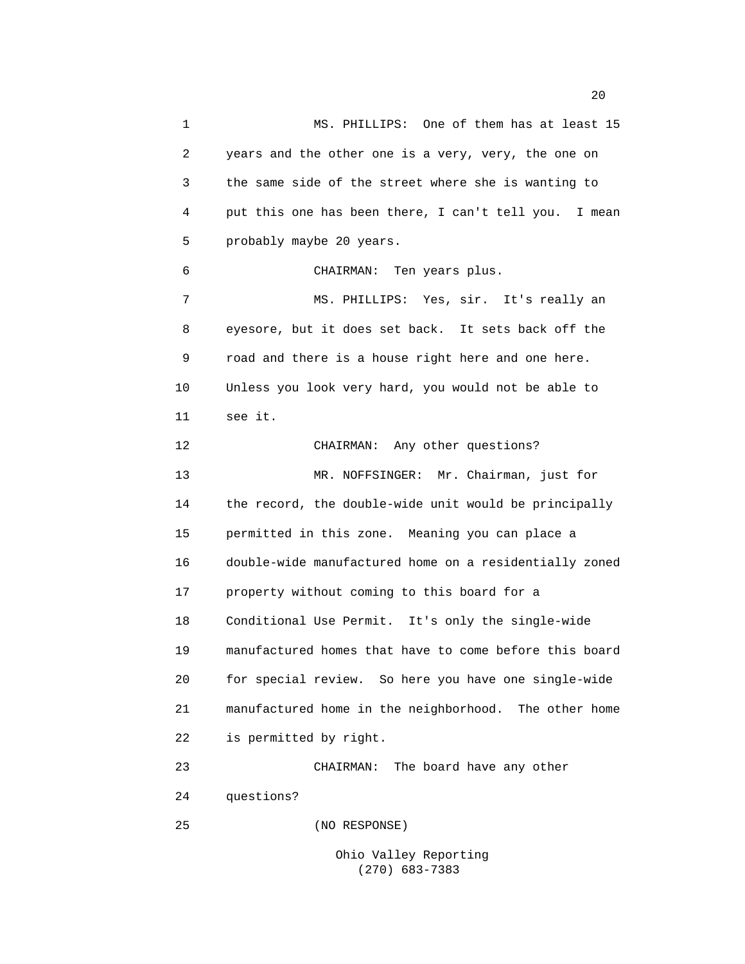1 MS. PHILLIPS: One of them has at least 15 2 years and the other one is a very, very, the one on 3 the same side of the street where she is wanting to 4 put this one has been there, I can't tell you. I mean 5 probably maybe 20 years. 6 CHAIRMAN: Ten years plus. 7 MS. PHILLIPS: Yes, sir. It's really an 8 eyesore, but it does set back. It sets back off the 9 road and there is a house right here and one here. 10 Unless you look very hard, you would not be able to 11 see it. 12 CHAIRMAN: Any other questions? 13 MR. NOFFSINGER: Mr. Chairman, just for 14 the record, the double-wide unit would be principally 15 permitted in this zone. Meaning you can place a 16 double-wide manufactured home on a residentially zoned 17 property without coming to this board for a 18 Conditional Use Permit. It's only the single-wide 19 manufactured homes that have to come before this board 20 for special review. So here you have one single-wide 21 manufactured home in the neighborhood. The other home 22 is permitted by right. 23 CHAIRMAN: The board have any other 24 questions? 25 (NO RESPONSE)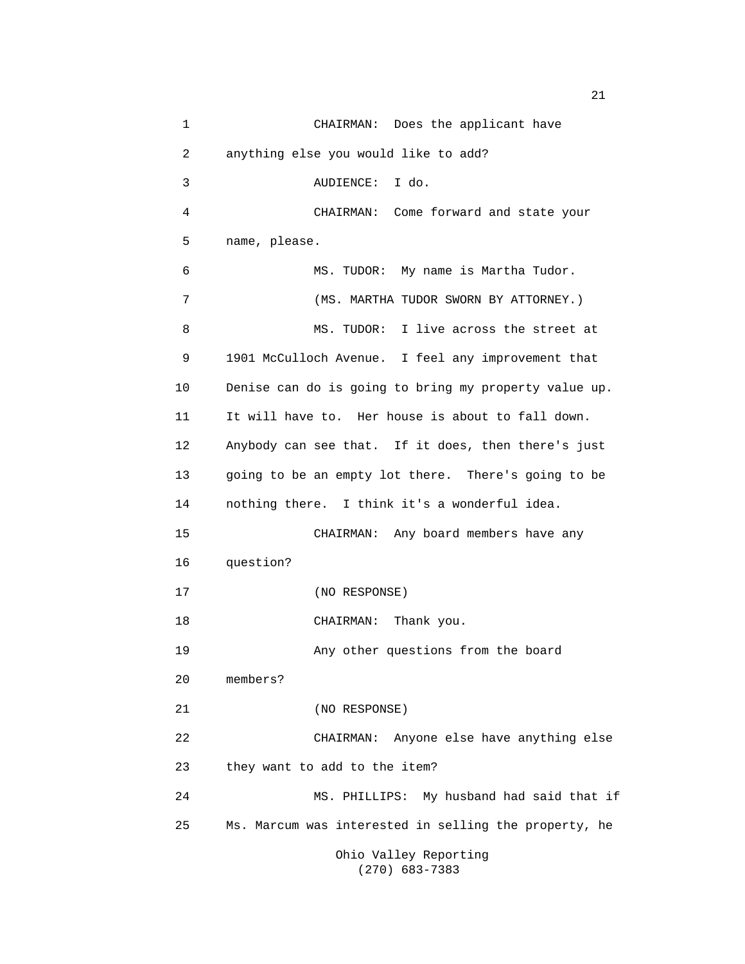1 CHAIRMAN: Does the applicant have 2 anything else you would like to add? 3 AUDIENCE: I do. 4 CHAIRMAN: Come forward and state your 5 name, please. 6 MS. TUDOR: My name is Martha Tudor. 7 (MS. MARTHA TUDOR SWORN BY ATTORNEY.) 8 MS. TUDOR: I live across the street at 9 1901 McCulloch Avenue. I feel any improvement that 10 Denise can do is going to bring my property value up. 11 It will have to. Her house is about to fall down. 12 Anybody can see that. If it does, then there's just 13 going to be an empty lot there. There's going to be 14 nothing there. I think it's a wonderful idea. 15 CHAIRMAN: Any board members have any 16 question? 17 (NO RESPONSE) 18 CHAIRMAN: Thank you. 19 Any other questions from the board 20 members? 21 (NO RESPONSE) 22 CHAIRMAN: Anyone else have anything else 23 they want to add to the item? 24 MS. PHILLIPS: My husband had said that if 25 Ms. Marcum was interested in selling the property, he Ohio Valley Reporting (270) 683-7383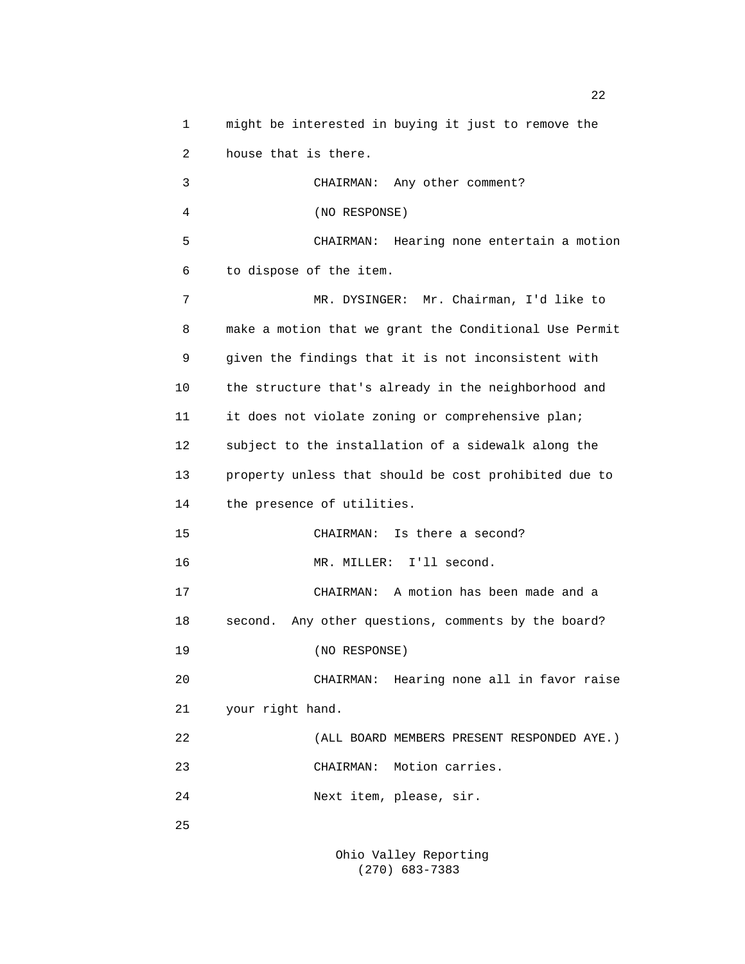1 might be interested in buying it just to remove the 2 house that is there. 3 CHAIRMAN: Any other comment? 4 (NO RESPONSE) 5 CHAIRMAN: Hearing none entertain a motion 6 to dispose of the item. 7 MR. DYSINGER: Mr. Chairman, I'd like to 8 make a motion that we grant the Conditional Use Permit 9 given the findings that it is not inconsistent with 10 the structure that's already in the neighborhood and 11 it does not violate zoning or comprehensive plan; 12 subject to the installation of a sidewalk along the 13 property unless that should be cost prohibited due to 14 the presence of utilities. 15 CHAIRMAN: Is there a second? 16 MR. MILLER: I'll second. 17 CHAIRMAN: A motion has been made and a 18 second. Any other questions, comments by the board? 19 (NO RESPONSE) 20 CHAIRMAN: Hearing none all in favor raise 21 your right hand. 22 (ALL BOARD MEMBERS PRESENT RESPONDED AYE.) 23 CHAIRMAN: Motion carries. 24 Next item, please, sir. 25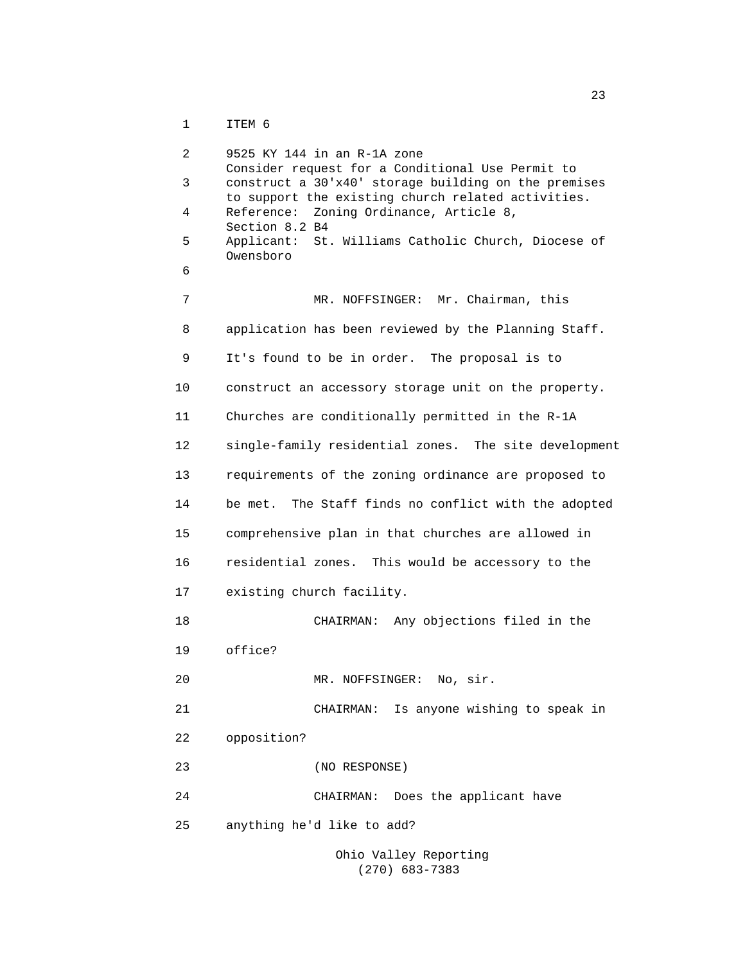1 ITEM 6

```
 2 9525 KY 144 in an R-1A zone 
                Consider request for a Conditional Use Permit to 
           3 construct a 30'x40' storage building on the premises 
                to support the existing church related activities. 
           4 Reference: Zoning Ordinance, Article 8, 
                Section 8.2 B4 
           5 Applicant: St. Williams Catholic Church, Diocese of 
                Owensboro 
6 
          7 MR. NOFFSINGER: Mr. Chairman, this
           8 application has been reviewed by the Planning Staff. 
           9 It's found to be in order. The proposal is to 
          10 construct an accessory storage unit on the property. 
          11 Churches are conditionally permitted in the R-1A 
          12 single-family residential zones. The site development 
          13 requirements of the zoning ordinance are proposed to 
          14 be met. The Staff finds no conflict with the adopted 
          15 comprehensive plan in that churches are allowed in 
          16 residential zones. This would be accessory to the 
          17 existing church facility. 
          18 CHAIRMAN: Any objections filed in the 
          19 office? 
          20 MR. NOFFSINGER: No, sir. 
          21 CHAIRMAN: Is anyone wishing to speak in 
          22 opposition? 
          23 (NO RESPONSE) 
          24 CHAIRMAN: Does the applicant have 
          25 anything he'd like to add?
```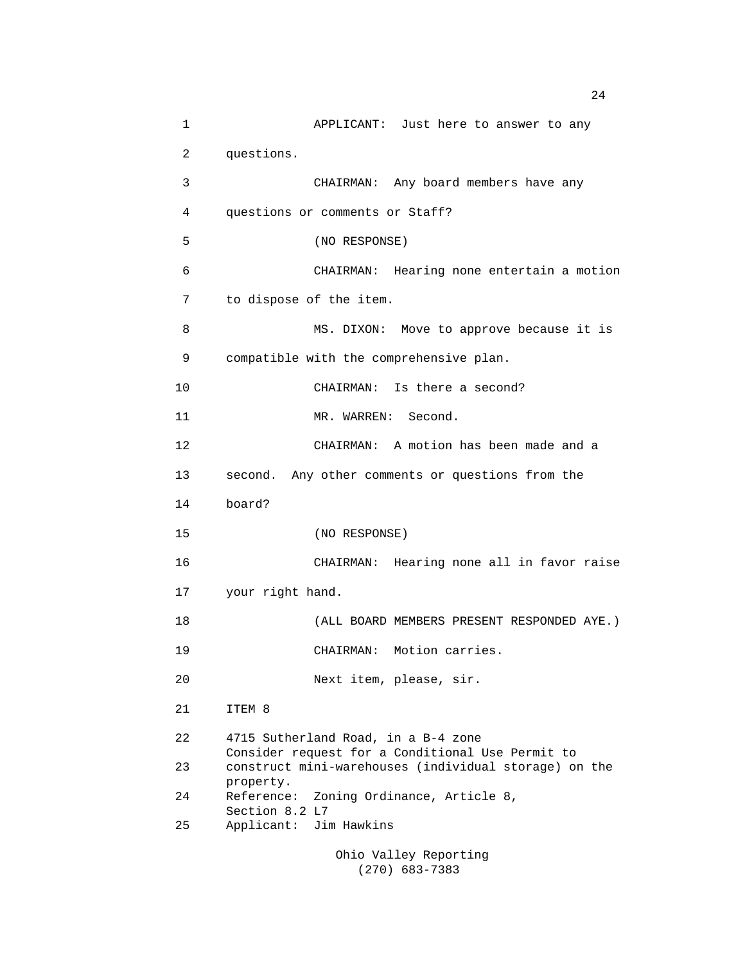1 APPLICANT: Just here to answer to any 2 questions. 3 CHAIRMAN: Any board members have any 4 questions or comments or Staff? 5 (NO RESPONSE) 6 CHAIRMAN: Hearing none entertain a motion 7 to dispose of the item. 8 MS. DIXON: Move to approve because it is 9 compatible with the comprehensive plan. 10 CHAIRMAN: Is there a second? 11 MR. WARREN: Second. 12 CHAIRMAN: A motion has been made and a 13 second. Any other comments or questions from the 14 board? 15 (NO RESPONSE) 16 CHAIRMAN: Hearing none all in favor raise 17 your right hand. 18 (ALL BOARD MEMBERS PRESENT RESPONDED AYE.) 19 CHAIRMAN: Motion carries. 20 Next item, please, sir. 21 ITEM 8 22 4715 Sutherland Road, in a B-4 zone Consider request for a Conditional Use Permit to 23 construct mini-warehouses (individual storage) on the property. 24 Reference: Zoning Ordinance, Article 8, Section 8.2 L7 25 Applicant: Jim Hawkins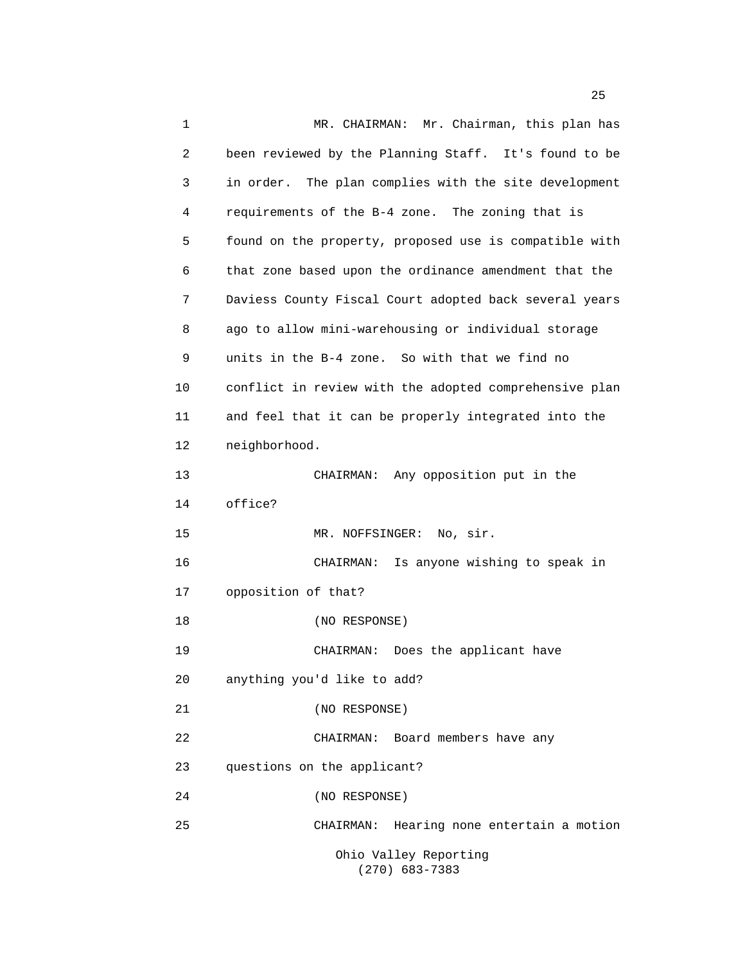1 MR. CHAIRMAN: Mr. Chairman, this plan has 2 been reviewed by the Planning Staff. It's found to be 3 in order. The plan complies with the site development 4 requirements of the B-4 zone. The zoning that is 5 found on the property, proposed use is compatible with 6 that zone based upon the ordinance amendment that the 7 Daviess County Fiscal Court adopted back several years 8 ago to allow mini-warehousing or individual storage 9 units in the B-4 zone. So with that we find no 10 conflict in review with the adopted comprehensive plan 11 and feel that it can be properly integrated into the 12 neighborhood. 13 CHAIRMAN: Any opposition put in the 14 office? 15 MR. NOFFSINGER: No, sir. 16 CHAIRMAN: Is anyone wishing to speak in 17 opposition of that? 18 (NO RESPONSE) 19 CHAIRMAN: Does the applicant have 20 anything you'd like to add? 21 (NO RESPONSE) 22 CHAIRMAN: Board members have any 23 questions on the applicant? 24 (NO RESPONSE) 25 CHAIRMAN: Hearing none entertain a motion Ohio Valley Reporting (270) 683-7383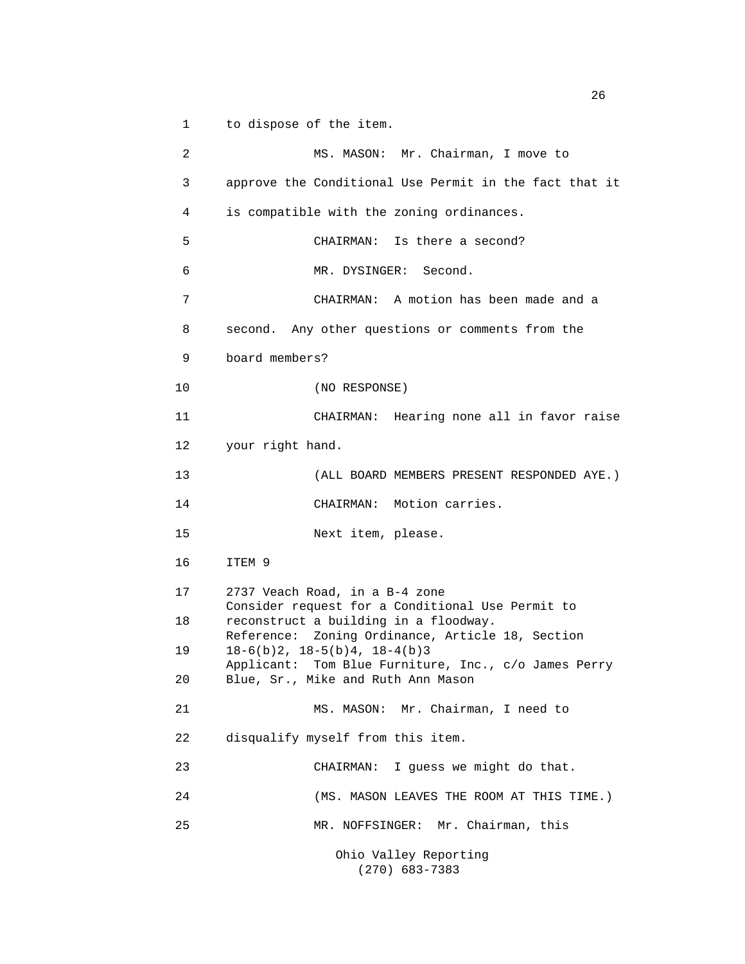1 to dispose of the item.

2 MS. MASON: Mr. Chairman, I move to 3 approve the Conditional Use Permit in the fact that it 4 is compatible with the zoning ordinances. 5 CHAIRMAN: Is there a second? 6 MR. DYSINGER: Second. 7 CHAIRMAN: A motion has been made and a 8 second. Any other questions or comments from the 9 board members? 10 (NO RESPONSE) 11 CHAIRMAN: Hearing none all in favor raise 12 your right hand. 13 (ALL BOARD MEMBERS PRESENT RESPONDED AYE.) 14 CHAIRMAN: Motion carries. 15 Next item, please. 16 ITEM 9 17 2737 Veach Road, in a B-4 zone Consider request for a Conditional Use Permit to 18 reconstruct a building in a floodway. Reference: Zoning Ordinance, Article 18, Section 19 18-6(b)2, 18-5(b)4, 18-4(b)3 Applicant: Tom Blue Furniture, Inc., c/o James Perry 20 Blue, Sr., Mike and Ruth Ann Mason 21 MS. MASON: Mr. Chairman, I need to 22 disqualify myself from this item. 23 CHAIRMAN: I guess we might do that. 24 (MS. MASON LEAVES THE ROOM AT THIS TIME.) 25 MR. NOFFSINGER: Mr. Chairman, this Ohio Valley Reporting (270) 683-7383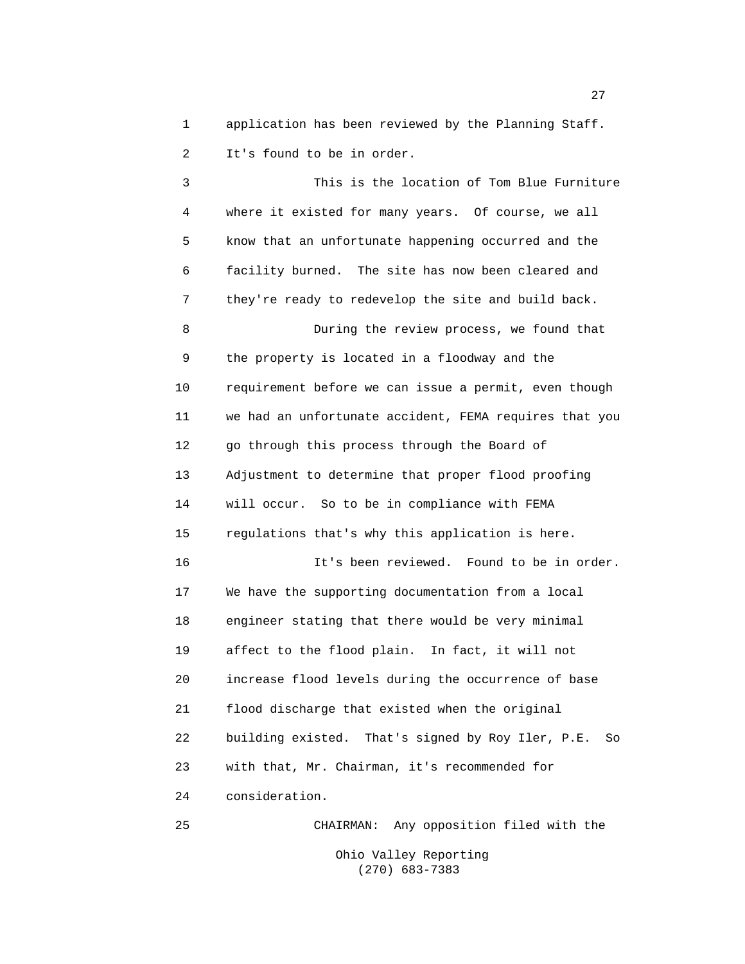1 application has been reviewed by the Planning Staff. 2 It's found to be in order.

 3 This is the location of Tom Blue Furniture 4 where it existed for many years. Of course, we all 5 know that an unfortunate happening occurred and the 6 facility burned. The site has now been cleared and 7 they're ready to redevelop the site and build back. 8 During the review process, we found that 9 the property is located in a floodway and the 10 requirement before we can issue a permit, even though 11 we had an unfortunate accident, FEMA requires that you 12 go through this process through the Board of 13 Adjustment to determine that proper flood proofing 14 will occur. So to be in compliance with FEMA 15 regulations that's why this application is here. 16 It's been reviewed. Found to be in order. 17 We have the supporting documentation from a local 18 engineer stating that there would be very minimal 19 affect to the flood plain. In fact, it will not 20 increase flood levels during the occurrence of base 21 flood discharge that existed when the original 22 building existed. That's signed by Roy Iler, P.E. So 23 with that, Mr. Chairman, it's recommended for 24 consideration. 25 CHAIRMAN: Any opposition filed with the

> Ohio Valley Reporting (270) 683-7383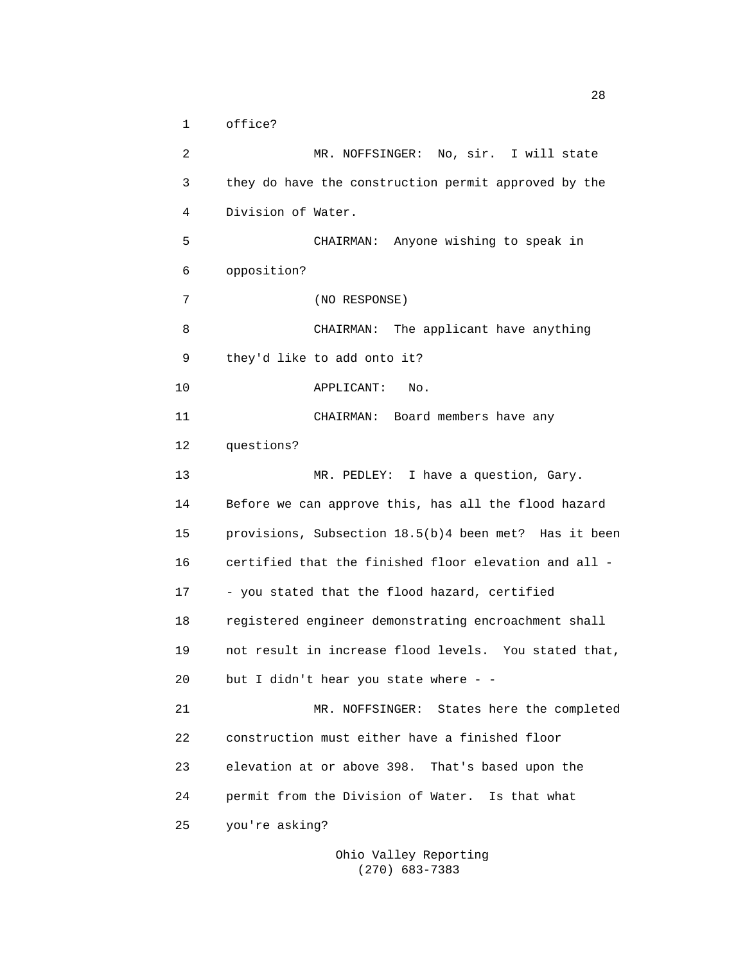1 office?

 2 MR. NOFFSINGER: No, sir. I will state 3 they do have the construction permit approved by the 4 Division of Water. 5 CHAIRMAN: Anyone wishing to speak in 6 opposition? 7 (NO RESPONSE) 8 CHAIRMAN: The applicant have anything 9 they'd like to add onto it? 10 APPLICANT: No. 11 CHAIRMAN: Board members have any 12 questions? 13 MR. PEDLEY: I have a question, Gary. 14 Before we can approve this, has all the flood hazard 15 provisions, Subsection 18.5(b)4 been met? Has it been 16 certified that the finished floor elevation and all - 17 - you stated that the flood hazard, certified 18 registered engineer demonstrating encroachment shall 19 not result in increase flood levels. You stated that, 20 but I didn't hear you state where - - 21 MR. NOFFSINGER: States here the completed 22 construction must either have a finished floor 23 elevation at or above 398. That's based upon the 24 permit from the Division of Water. Is that what 25 you're asking?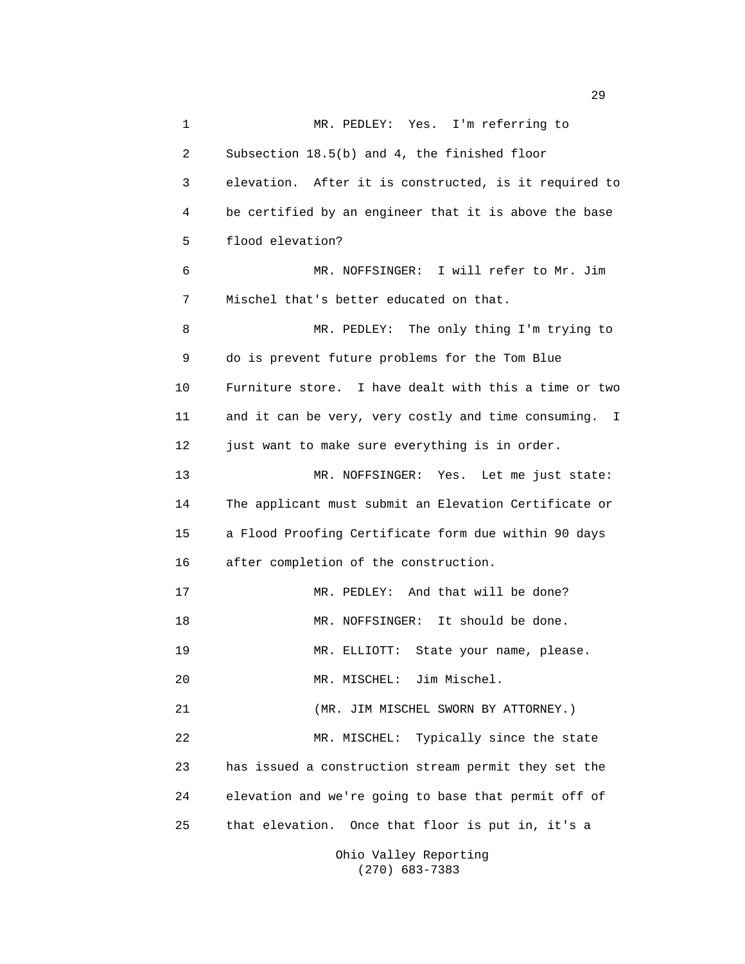1 MR. PEDLEY: Yes. I'm referring to 2 Subsection 18.5(b) and 4, the finished floor 3 elevation. After it is constructed, is it required to 4 be certified by an engineer that it is above the base 5 flood elevation? 6 MR. NOFFSINGER: I will refer to Mr. Jim 7 Mischel that's better educated on that. 8 MR. PEDLEY: The only thing I'm trying to 9 do is prevent future problems for the Tom Blue 10 Furniture store. I have dealt with this a time or two 11 and it can be very, very costly and time consuming. I 12 just want to make sure everything is in order. 13 MR. NOFFSINGER: Yes. Let me just state: 14 The applicant must submit an Elevation Certificate or 15 a Flood Proofing Certificate form due within 90 days 16 after completion of the construction. 17 MR. PEDLEY: And that will be done? 18 MR. NOFFSINGER: It should be done. 19 MR. ELLIOTT: State your name, please. 20 MR. MISCHEL: Jim Mischel. 21 (MR. JIM MISCHEL SWORN BY ATTORNEY.) 22 MR. MISCHEL: Typically since the state 23 has issued a construction stream permit they set the 24 elevation and we're going to base that permit off of 25 that elevation. Once that floor is put in, it's a Ohio Valley Reporting

(270) 683-7383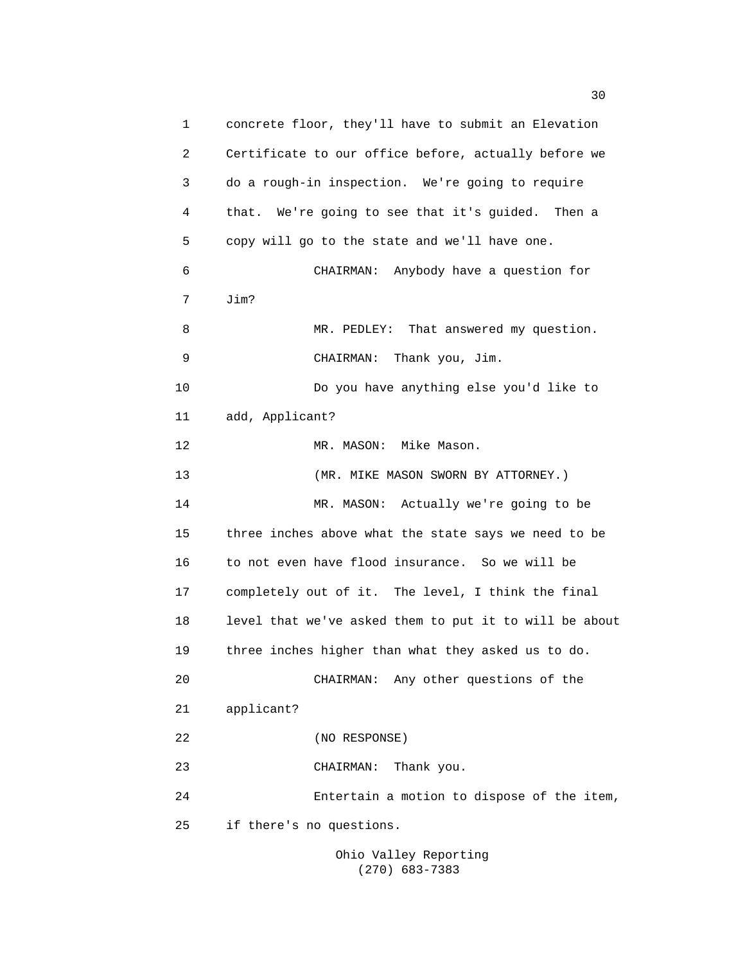1 concrete floor, they'll have to submit an Elevation 2 Certificate to our office before, actually before we 3 do a rough-in inspection. We're going to require 4 that. We're going to see that it's guided. Then a 5 copy will go to the state and we'll have one. 6 CHAIRMAN: Anybody have a question for 7 Jim? 8 MR. PEDLEY: That answered my question. 9 CHAIRMAN: Thank you, Jim. 10 Do you have anything else you'd like to 11 add, Applicant? 12 MR. MASON: Mike Mason. 13 (MR. MIKE MASON SWORN BY ATTORNEY.) 14 MR. MASON: Actually we're going to be 15 three inches above what the state says we need to be 16 to not even have flood insurance. So we will be 17 completely out of it. The level, I think the final 18 level that we've asked them to put it to will be about 19 three inches higher than what they asked us to do. 20 CHAIRMAN: Any other questions of the 21 applicant? 22 (NO RESPONSE) 23 CHAIRMAN: Thank you. 24 Entertain a motion to dispose of the item, 25 if there's no questions.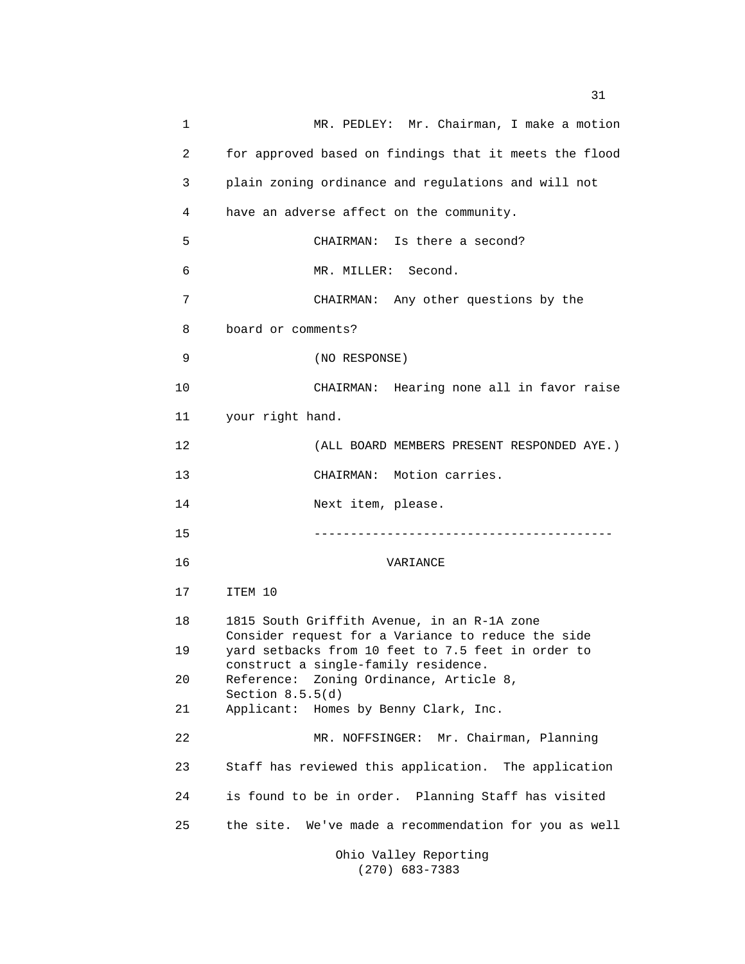1 MR. PEDLEY: Mr. Chairman, I make a motion 2 for approved based on findings that it meets the flood 3 plain zoning ordinance and regulations and will not 4 have an adverse affect on the community. 5 CHAIRMAN: Is there a second? 6 MR. MILLER: Second. 7 CHAIRMAN: Any other questions by the 8 board or comments? 9 (NO RESPONSE) 10 CHAIRMAN: Hearing none all in favor raise 11 your right hand. 12 (ALL BOARD MEMBERS PRESENT RESPONDED AYE.) 13 CHAIRMAN: Motion carries. 14 Next item, please. 15 ----------------------------------------- 16 VARIANCE 17 ITEM 10 18 1815 South Griffith Avenue, in an R-1A zone Consider request for a Variance to reduce the side 19 yard setbacks from 10 feet to 7.5 feet in order to construct a single-family residence. 20 Reference: Zoning Ordinance, Article 8, Section 8.5.5(d) 21 Applicant: Homes by Benny Clark, Inc. 22 MR. NOFFSINGER: Mr. Chairman, Planning 23 Staff has reviewed this application. The application 24 is found to be in order. Planning Staff has visited 25 the site. We've made a recommendation for you as well Ohio Valley Reporting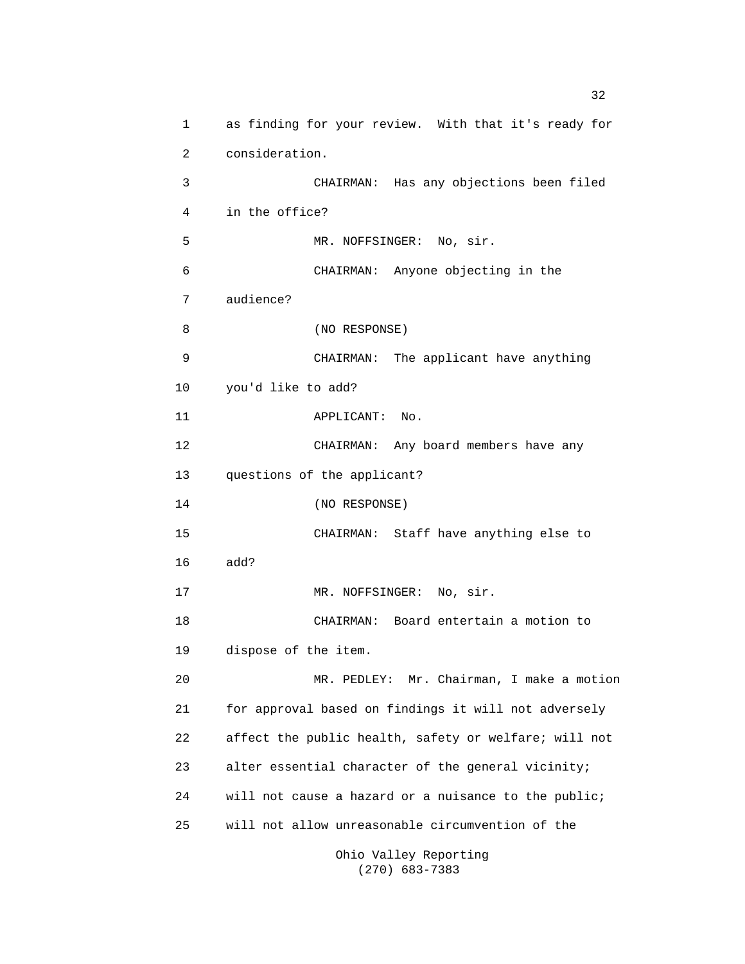1 as finding for your review. With that it's ready for 2 consideration. 3 CHAIRMAN: Has any objections been filed 4 in the office? 5 MR. NOFFSINGER: No, sir. 6 CHAIRMAN: Anyone objecting in the 7 audience? 8 (NO RESPONSE) 9 CHAIRMAN: The applicant have anything 10 you'd like to add? 11 APPLICANT: No. 12 CHAIRMAN: Any board members have any 13 questions of the applicant? 14 (NO RESPONSE) 15 CHAIRMAN: Staff have anything else to 16 add? 17 MR. NOFFSINGER: No, sir. 18 CHAIRMAN: Board entertain a motion to 19 dispose of the item. 20 MR. PEDLEY: Mr. Chairman, I make a motion 21 for approval based on findings it will not adversely 22 affect the public health, safety or welfare; will not 23 alter essential character of the general vicinity; 24 will not cause a hazard or a nuisance to the public; 25 will not allow unreasonable circumvention of the Ohio Valley Reporting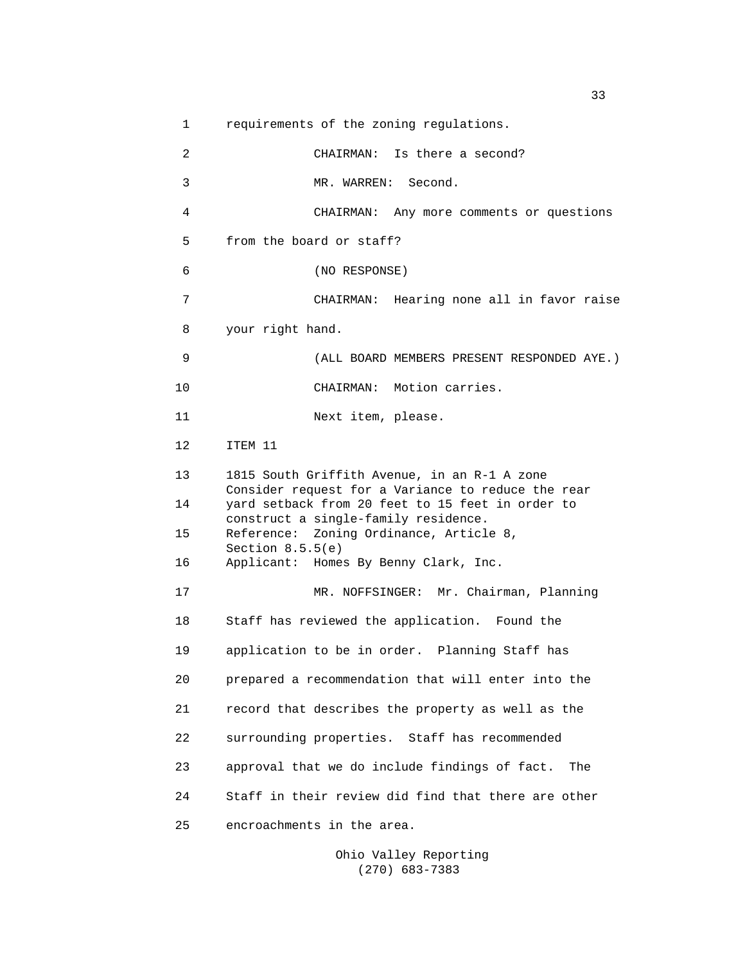1 requirements of the zoning regulations. 2 CHAIRMAN: Is there a second? 3 MR. WARREN: Second. 4 CHAIRMAN: Any more comments or questions 5 from the board or staff? 6 (NO RESPONSE) 7 CHAIRMAN: Hearing none all in favor raise 8 your right hand. 9 (ALL BOARD MEMBERS PRESENT RESPONDED AYE.) 10 CHAIRMAN: Motion carries. 11 Next item, please. 12 ITEM 11 13 1815 South Griffith Avenue, in an R-1 A zone Consider request for a Variance to reduce the rear 14 yard setback from 20 feet to 15 feet in order to construct a single-family residence. 15 Reference: Zoning Ordinance, Article 8, Section 8.5.5(e) 16 Applicant: Homes By Benny Clark, Inc. 17 MR. NOFFSINGER: Mr. Chairman, Planning 18 Staff has reviewed the application. Found the 19 application to be in order. Planning Staff has 20 prepared a recommendation that will enter into the 21 record that describes the property as well as the 22 surrounding properties. Staff has recommended 23 approval that we do include findings of fact. The 24 Staff in their review did find that there are other 25 encroachments in the area.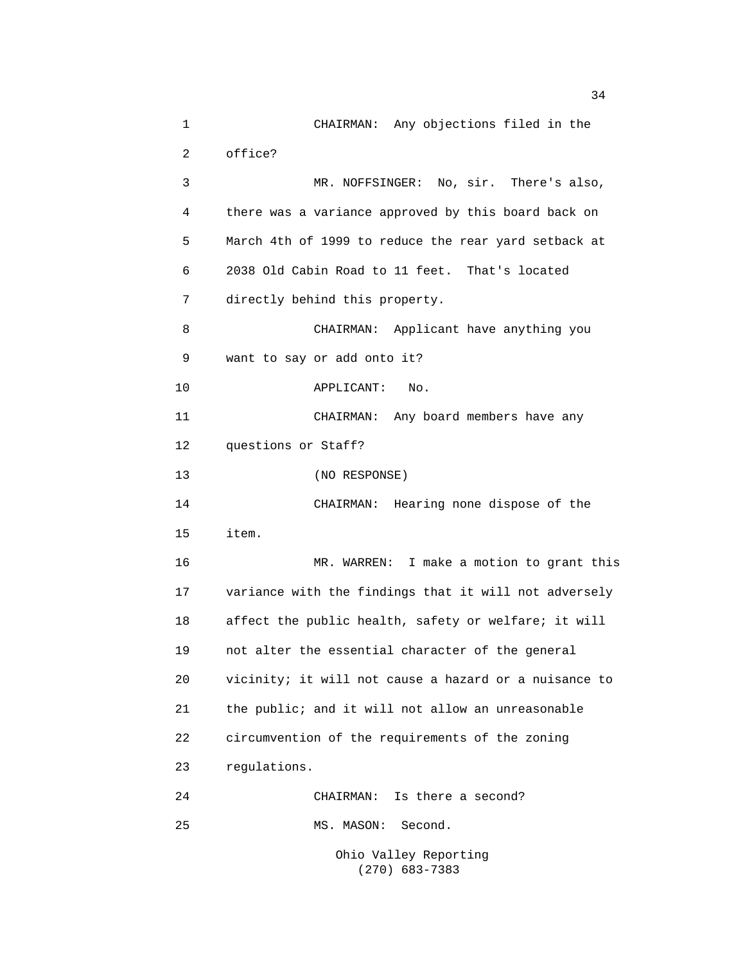1 CHAIRMAN: Any objections filed in the 2 office? 3 MR. NOFFSINGER: No, sir. There's also, 4 there was a variance approved by this board back on 5 March 4th of 1999 to reduce the rear yard setback at 6 2038 Old Cabin Road to 11 feet. That's located 7 directly behind this property. 8 CHAIRMAN: Applicant have anything you 9 want to say or add onto it? 10 APPLICANT: No. 11 CHAIRMAN: Any board members have any 12 questions or Staff? 13 (NO RESPONSE) 14 CHAIRMAN: Hearing none dispose of the 15 item. 16 MR. WARREN: I make a motion to grant this 17 variance with the findings that it will not adversely 18 affect the public health, safety or welfare; it will 19 not alter the essential character of the general 20 vicinity; it will not cause a hazard or a nuisance to 21 the public; and it will not allow an unreasonable 22 circumvention of the requirements of the zoning 23 regulations. 24 CHAIRMAN: Is there a second? 25 MS. MASON: Second. Ohio Valley Reporting

(270) 683-7383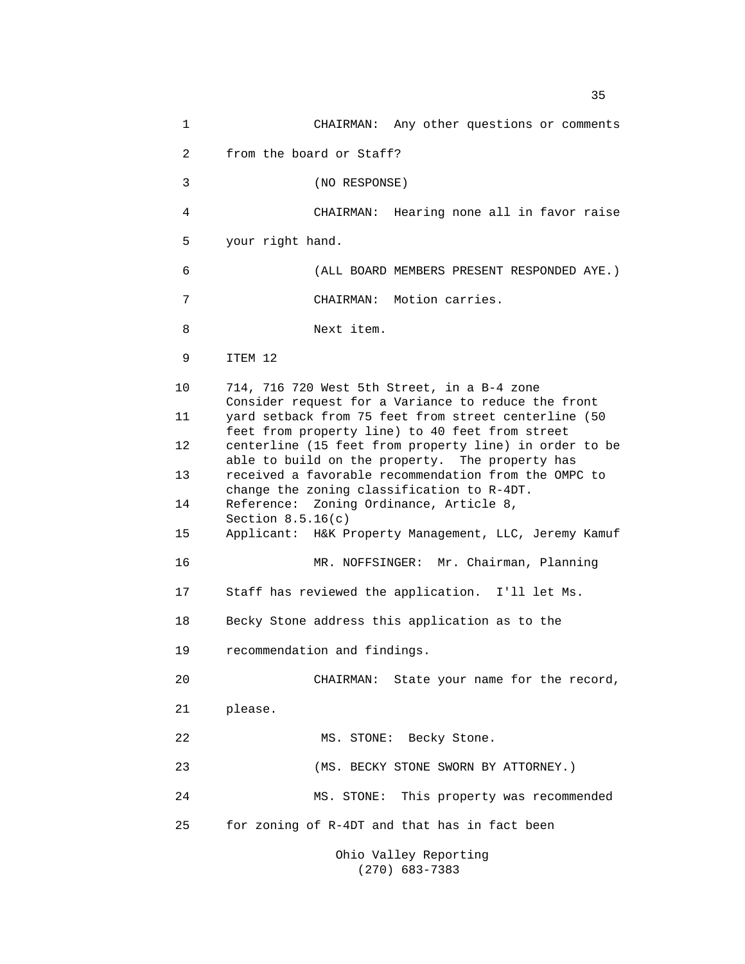1 CHAIRMAN: Any other questions or comments 2 from the board or Staff? 3 (NO RESPONSE) 4 CHAIRMAN: Hearing none all in favor raise 5 your right hand. 6 (ALL BOARD MEMBERS PRESENT RESPONDED AYE.) 7 CHAIRMAN: Motion carries. 8 Next item. 9 ITEM 12 10 714, 716 720 West 5th Street, in a B-4 zone Consider request for a Variance to reduce the front 11 yard setback from 75 feet from street centerline (50 feet from property line) to 40 feet from street 12 centerline (15 feet from property line) in order to be able to build on the property. The property has 13 received a favorable recommendation from the OMPC to change the zoning classification to R-4DT. 14 Reference: Zoning Ordinance, Article 8, Section 8.5.16(c) 15 Applicant: H&K Property Management, LLC, Jeremy Kamuf 16 MR. NOFFSINGER: Mr. Chairman, Planning 17 Staff has reviewed the application. I'll let Ms. 18 Becky Stone address this application as to the 19 recommendation and findings. 20 CHAIRMAN: State your name for the record, 21 please. 22 MS. STONE: Becky Stone. 23 (MS. BECKY STONE SWORN BY ATTORNEY.) 24 MS. STONE: This property was recommended 25 for zoning of R-4DT and that has in fact been Ohio Valley Reporting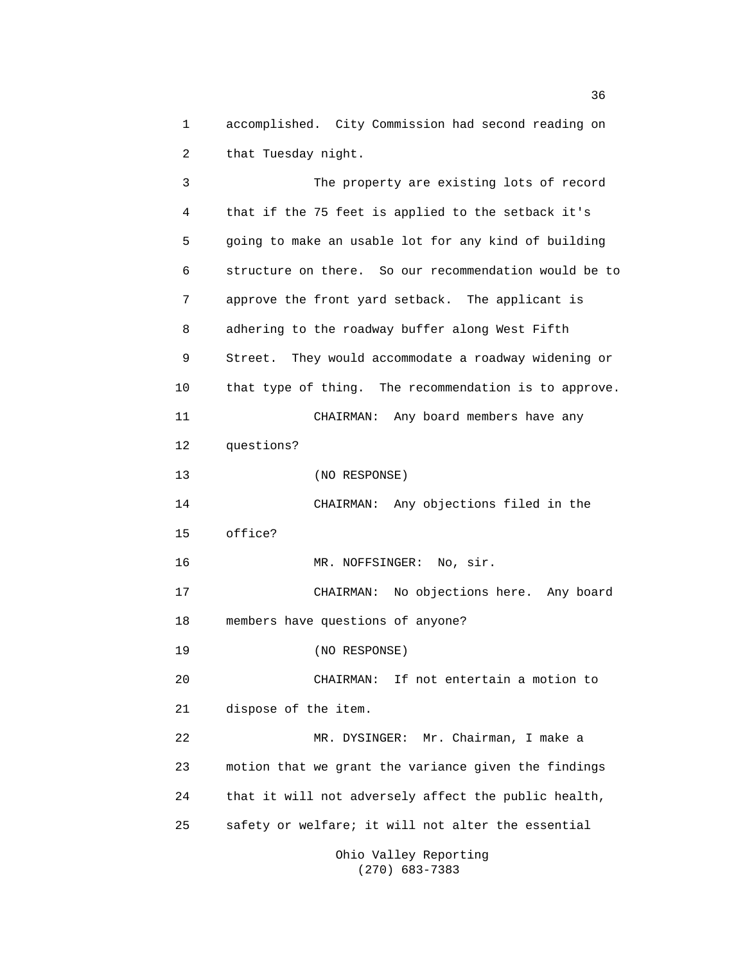1 accomplished. City Commission had second reading on 2 that Tuesday night.

 3 The property are existing lots of record 4 that if the 75 feet is applied to the setback it's 5 going to make an usable lot for any kind of building 6 structure on there. So our recommendation would be to 7 approve the front yard setback. The applicant is 8 adhering to the roadway buffer along West Fifth 9 Street. They would accommodate a roadway widening or 10 that type of thing. The recommendation is to approve. 11 CHAIRMAN: Any board members have any 12 questions? 13 (NO RESPONSE) 14 CHAIRMAN: Any objections filed in the 15 office? 16 MR. NOFFSINGER: No, sir. 17 CHAIRMAN: No objections here. Any board 18 members have questions of anyone? 19 (NO RESPONSE) 20 CHAIRMAN: If not entertain a motion to 21 dispose of the item. 22 MR. DYSINGER: Mr. Chairman, I make a 23 motion that we grant the variance given the findings 24 that it will not adversely affect the public health, 25 safety or welfare; it will not alter the essential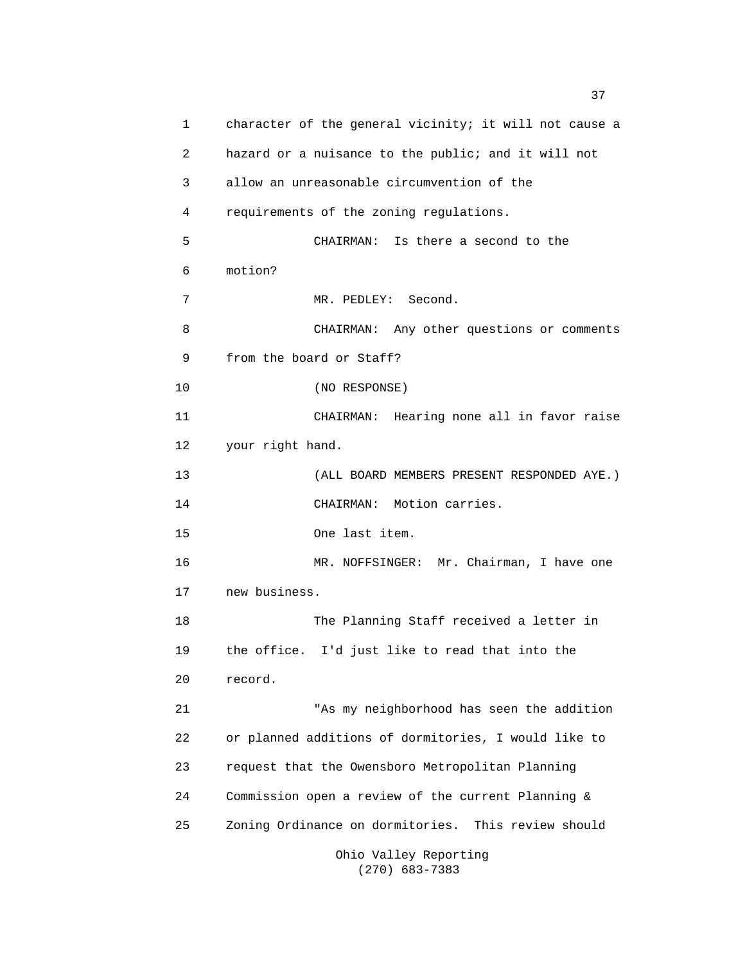1 character of the general vicinity; it will not cause a 2 hazard or a nuisance to the public; and it will not 3 allow an unreasonable circumvention of the 4 requirements of the zoning regulations. 5 CHAIRMAN: Is there a second to the 6 motion? 7 MR. PEDLEY: Second. 8 CHAIRMAN: Any other questions or comments 9 from the board or Staff? 10 (NO RESPONSE) 11 CHAIRMAN: Hearing none all in favor raise 12 your right hand. 13 (ALL BOARD MEMBERS PRESENT RESPONDED AYE.) 14 CHAIRMAN: Motion carries. 15 One last item. 16 MR. NOFFSINGER: Mr. Chairman, I have one 17 new business. 18 The Planning Staff received a letter in 19 the office. I'd just like to read that into the 20 record. 21 "As my neighborhood has seen the addition 22 or planned additions of dormitories, I would like to 23 request that the Owensboro Metropolitan Planning 24 Commission open a review of the current Planning & 25 Zoning Ordinance on dormitories. This review should Ohio Valley Reporting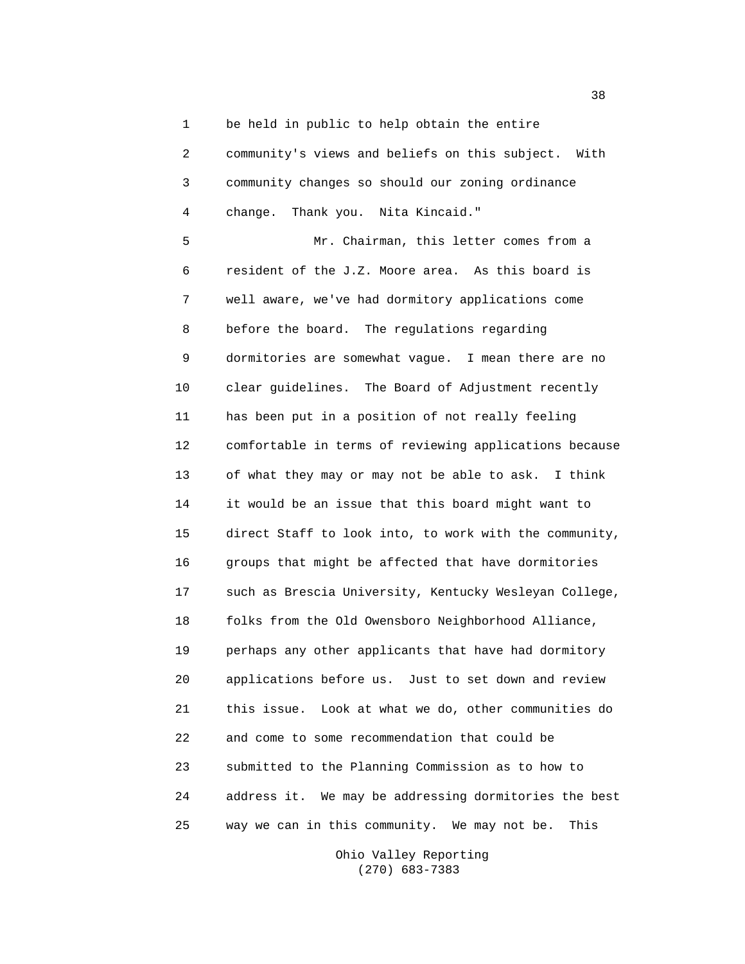1 be held in public to help obtain the entire

 2 community's views and beliefs on this subject. With 3 community changes so should our zoning ordinance 4 change. Thank you. Nita Kincaid."

 5 Mr. Chairman, this letter comes from a 6 resident of the J.Z. Moore area. As this board is 7 well aware, we've had dormitory applications come 8 before the board. The regulations regarding 9 dormitories are somewhat vague. I mean there are no 10 clear guidelines. The Board of Adjustment recently 11 has been put in a position of not really feeling 12 comfortable in terms of reviewing applications because 13 of what they may or may not be able to ask. I think 14 it would be an issue that this board might want to 15 direct Staff to look into, to work with the community, 16 groups that might be affected that have dormitories 17 such as Brescia University, Kentucky Wesleyan College, 18 folks from the Old Owensboro Neighborhood Alliance, 19 perhaps any other applicants that have had dormitory 20 applications before us. Just to set down and review 21 this issue. Look at what we do, other communities do 22 and come to some recommendation that could be 23 submitted to the Planning Commission as to how to 24 address it. We may be addressing dormitories the best 25 way we can in this community. We may not be. This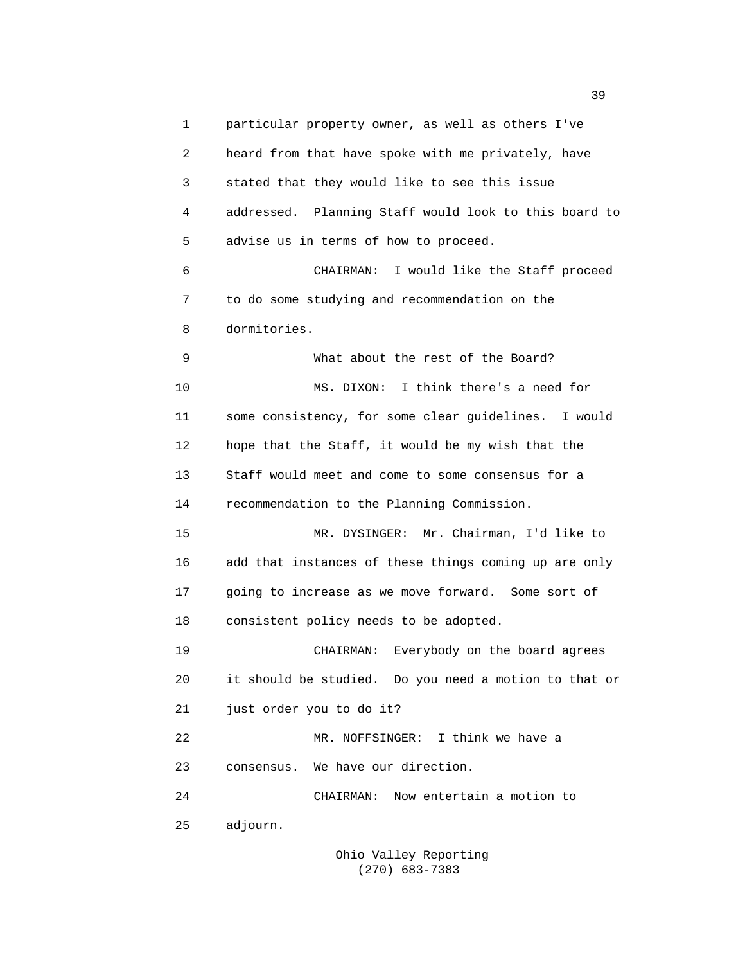1 particular property owner, as well as others I've 2 heard from that have spoke with me privately, have 3 stated that they would like to see this issue 4 addressed. Planning Staff would look to this board to 5 advise us in terms of how to proceed. 6 CHAIRMAN: I would like the Staff proceed 7 to do some studying and recommendation on the 8 dormitories. 9 What about the rest of the Board? 10 MS. DIXON: I think there's a need for 11 some consistency, for some clear guidelines. I would 12 hope that the Staff, it would be my wish that the 13 Staff would meet and come to some consensus for a 14 recommendation to the Planning Commission. 15 MR. DYSINGER: Mr. Chairman, I'd like to 16 add that instances of these things coming up are only 17 going to increase as we move forward. Some sort of 18 consistent policy needs to be adopted. 19 CHAIRMAN: Everybody on the board agrees 20 it should be studied. Do you need a motion to that or 21 just order you to do it? 22 MR. NOFFSINGER: I think we have a 23 consensus. We have our direction. 24 CHAIRMAN: Now entertain a motion to 25 adjourn.

> Ohio Valley Reporting (270) 683-7383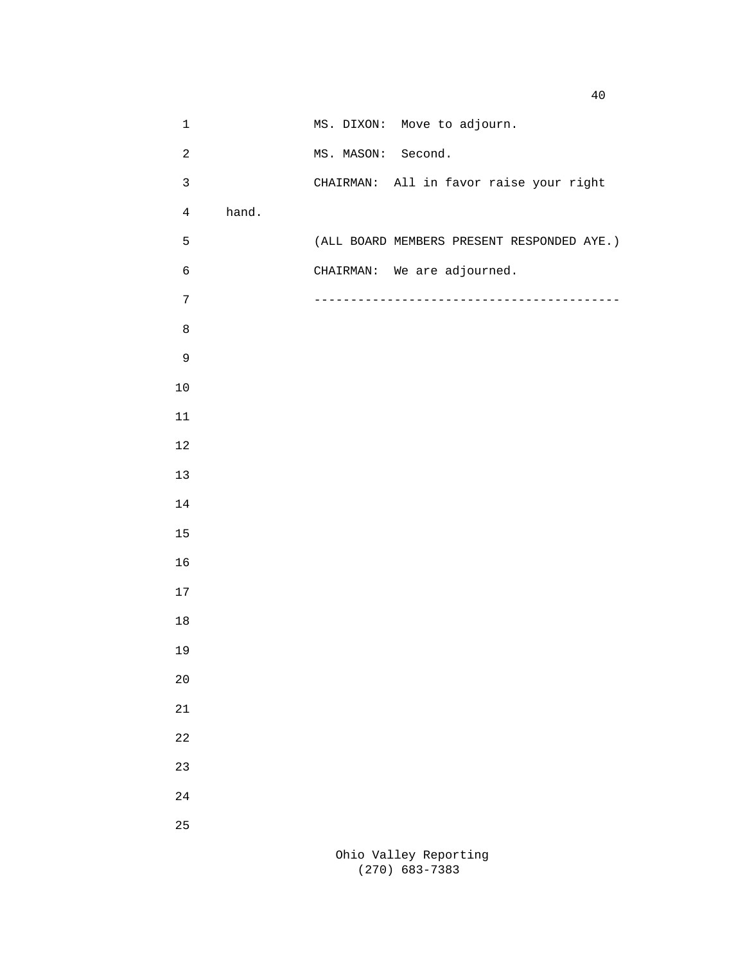| $1\,$          |       | MS. DIXON: Move to adjourn.                |
|----------------|-------|--------------------------------------------|
| $\sqrt{2}$     |       | MS. MASON: Second.                         |
| $\mathsf 3$    |       | CHAIRMAN: All in favor raise your right    |
| $\overline{4}$ | hand. |                                            |
| 5              |       | (ALL BOARD MEMBERS PRESENT RESPONDED AYE.) |
| $\epsilon$     |       | CHAIRMAN: We are adjourned.                |
| $\sqrt{ }$     |       |                                            |
| $\,8\,$        |       |                                            |
| $\mathsf 9$    |       |                                            |
| $10$           |       |                                            |
| $11\,$         |       |                                            |
| $12$           |       |                                            |
| $13$           |       |                                            |
| $14\,$         |       |                                            |
| $15$           |       |                                            |
| 16             |       |                                            |
| $17\,$         |       |                                            |
| $18\,$         |       |                                            |
| 19             |       |                                            |
| 20             |       |                                            |
| 21             |       |                                            |
| 22             |       |                                            |
| 23             |       |                                            |
| 24             |       |                                            |
| 25             |       |                                            |
|                |       | Ohio Valley Reporting                      |